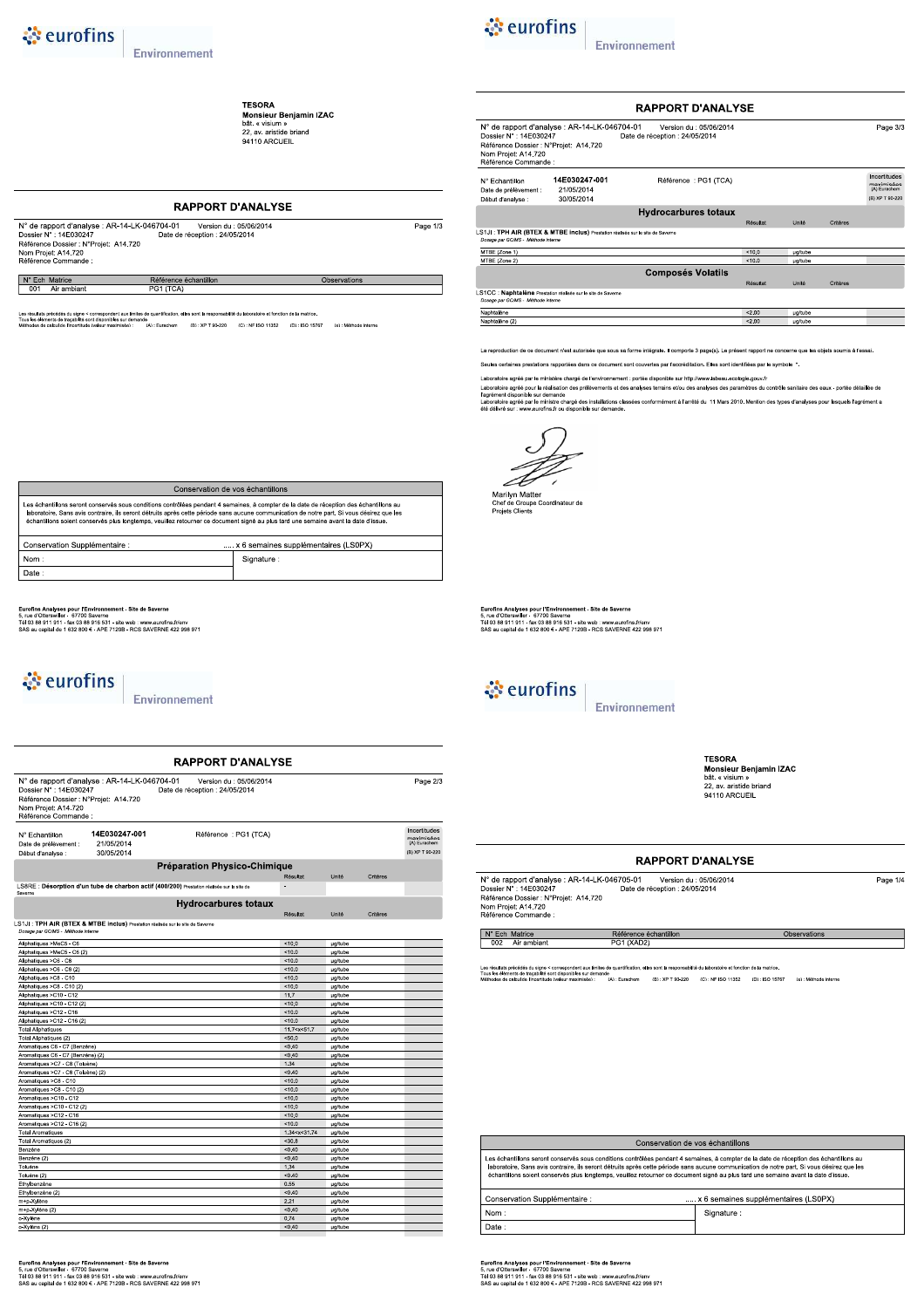**TESORA**<br>Monsieur Benjamin IZAC<br>bât. « visium »<br>22, av. aristide briand<br>94110 ARCUEIL

### **RAPPORT D'ANALYSE**  $\begin{tabular}{ll} $\mathbb{N}^{\circ}$ de rapport d'analyse : AR-14-LK-046704-01 & Version du : 05/06/2014\\ Dossier $\mathbb{N}^{\circ}$ : 14E030247 & Date de réception : 24/05/2014 \\ Référencie Dosser : N+07rojet: A14.720 & Date de réception : 24/05/2014 \\ \textit{Non Project: A14.720} & \multicolumn{2}{c}{\mathbb{N}^{6}+{\mathbb{N}^{6}+{\mathbb{N}^{6}}}}\end{tabular}$ Page  $1/3$ N° Ech Matrice Référence échantillon Observations Air ambiant .<br>ation, elles sont la responsabilité du laboratoire et fonction de la matric

ats précédés du signe < correspondent aux limites de<br>téments de traçabilité sont disponibles sur demande<br>de calcul de l'incertitude (valeur maximisée) : de<br>(A):Eurachem (B):XP T 90-220 (C):NF ISO 11352 (D):ISO 15767 (e):Méthode interne



Environnement

|                                                                                                                |                                                                                | <b>RAPPORT D'ANALYSE</b>                                  |          |         |          |                                                               |
|----------------------------------------------------------------------------------------------------------------|--------------------------------------------------------------------------------|-----------------------------------------------------------|----------|---------|----------|---------------------------------------------------------------|
| Dossier N° : 14E030247<br>Référence Dossier : N°Projet: A14.720<br>Nom Projet: A14.720<br>Référence Commande : | N° de rapport d'analyse : AR-14-LK-046704-01                                   | Version du : 05/06/2014<br>Date de réception : 24/05/2014 |          |         |          | Page 3/3                                                      |
| N° Echantillon<br>Date de prélèvement :<br>Début d'analyse :                                                   | 14E030247-001<br>21/05/2014<br>30/05/2014                                      | Référence : PG1 (TCA)                                     |          |         |          | Incertitudes<br>maximisées<br>(A) Eurachem<br>(B) XP T 90-220 |
|                                                                                                                |                                                                                | <b>Hydrocarbures totaux</b>                               |          |         |          |                                                               |
|                                                                                                                |                                                                                |                                                           | Résultat | Unité   | Critères |                                                               |
| Dosage par GC/MS - Méthode Interne                                                                             | LS1JI: TPH AIR (BTEX & MTBE inclus) Prestation réalisée sur le site de Saverne |                                                           |          |         |          |                                                               |
| MTBE (Zone 1)                                                                                                  |                                                                                |                                                           | < 100    | µg/tube |          |                                                               |
| MTBE (Zone 2)                                                                                                  |                                                                                |                                                           | < 10.0   | µg/tube |          |                                                               |
|                                                                                                                |                                                                                | <b>Composés Volatils</b>                                  |          |         |          |                                                               |
|                                                                                                                |                                                                                |                                                           | Résultat | Unité   | Critères |                                                               |
| Dosage par GC/MS - Méthode interne                                                                             | LS1CC : Naphtalène Prestation réalisée sur le site de Saverne                  |                                                           |          |         |          |                                                               |
| Naphtalène                                                                                                     |                                                                                |                                                           | < 2.00   | µg/tube |          |                                                               |
| Naphtalène (2)                                                                                                 |                                                                                |                                                           | < 2.00   | µg/tube |          |                                                               |

La reproduction de ce document n'est autorisée que sous sa forme intégrale. Il comporte 3 page(s). Le présent rapport ne concerne que les objets soumis à l'essai

Seules certaines prestations rapportées dans ce document sont couvertes par l'accréditation. Elles sont identifiées par le symbole \*.

Laboratoire agréé par le ministère chargé de l'environnement : portée disponible sur http://www.labeau.ecologie.gouv.fr<br>Laboratoire agrée pour la réalisation des prélèvements et des analyses terrains et/ou des analyses des

Marilyn Matter<br>Chef de Groupe Coordinateur de<br>Projets Clients

Eurofins Analyses pour l'Environnement - Site de Saverne<br>5, rue d'Otterswiller - 67700 Saverne<br>Tél 03 88 911 911 - fax 03 88 916 531 - site web : www.eurofins.frienv<br>SAS au capital de 1 632 800 € - APE 7120B - RCS SAVERNE



Environnement

**TESORA IESURA**<br>Monsieur Benjamin IZAC<br>bât. « visium »<br>22, av. aristide briand<br>94110 ARCUEIL

Observations

Page 1/4

### **RAPPORT D'ANALYSE**

| N° de rapport d'analyse : AR-14-LK-046705-01 | Version du : 05/06/2014        |  |
|----------------------------------------------|--------------------------------|--|
| Dossier N° : 14F030247                       | Date de réception : 24/05/2014 |  |
| Référence Dossier : N°Projet: A14.720        |                                |  |
| Nom Projet: A14.720                          |                                |  |
| Référence Commande :                         |                                |  |

N° Ech Matrice<br>002 Air ambiant

Les résultats précédés du signe < correspondent aux limites de<br>Tous les éléments de traçabilité sont disponibles sur demande<br>Méthodes de calcul de l'incertitude (valeur maximisée) : 5e<br>(A):Eurachem (B):XP T 90-220 (C):NF ISO 11352 (D):ISO 15767 (e):Méthode interne

Référence échantillon<br>PG1 (XAD2)

| Conservation de vos échantillons                                                                                                                                                                                                                                                                                                                                                                                           |            |  |  |  |  |  |
|----------------------------------------------------------------------------------------------------------------------------------------------------------------------------------------------------------------------------------------------------------------------------------------------------------------------------------------------------------------------------------------------------------------------------|------------|--|--|--|--|--|
| Les échantillons seront conservés sous conditions contrôlées pendant 4 semaines, à compter de la date de réception des échantillons au<br>laboratoire. Sans avis contraire, ils seront détruits après cette période sans aucune communication de notre part. Si vous désirez que les<br>échantillons soient conservés plus longtemps, veuillez retourner ce document signé au plus tard une semaine avant la date d'issue. |            |  |  |  |  |  |
| Conservation Supplémentaire :<br>x 6 semaines supplémentaires (LS0PX)                                                                                                                                                                                                                                                                                                                                                      |            |  |  |  |  |  |
| Nom:                                                                                                                                                                                                                                                                                                                                                                                                                       | Signature: |  |  |  |  |  |
| Date:                                                                                                                                                                                                                                                                                                                                                                                                                      |            |  |  |  |  |  |

Eurofins Analyses pour l'Environnement - Site de Saverne<br>5, rue d'Otterswiller - 67700 Saverne<br>Tél 03 88 911 911 - fax 03 88 916 531 - site web : www.eurofins.frienv<br>SAS au capital de 1 632 800 € - APE 7120B - RCS SAVERNE

o-Xylène (2)

| Les échantillons seront conservés sous conditions contrôlées pendant 4 semaines, à compter de la date de réception des échantillons au<br>laboratoire. Sans avis contraire, ils seront détruits après cette période sans aucune communication de notre part. Si vous désirez que les<br>échantillons soient conservés plus longtemps, veuillez retourner ce document signé au plus tard une semaine avant la date d'issue. |                                      |  |  |  |  |  |  |
|----------------------------------------------------------------------------------------------------------------------------------------------------------------------------------------------------------------------------------------------------------------------------------------------------------------------------------------------------------------------------------------------------------------------------|--------------------------------------|--|--|--|--|--|--|
| Conservation Supplémentaire :                                                                                                                                                                                                                                                                                                                                                                                              | x 6 semaines supplémentaires (LS0PX) |  |  |  |  |  |  |
| Nom:                                                                                                                                                                                                                                                                                                                                                                                                                       | Signature:                           |  |  |  |  |  |  |
| Date:                                                                                                                                                                                                                                                                                                                                                                                                                      |                                      |  |  |  |  |  |  |
|                                                                                                                                                                                                                                                                                                                                                                                                                            |                                      |  |  |  |  |  |  |

**RAPPORT D'ANALYSE** 

Concentrion de une échantil

Eurofins Analyses pour l'Environnement - Site de Saverne<br>5, rue d'Otterswiller - 67770 Saverne<br>Tél 03 88 911 911 - fax 03 88 916 531 - site web : www.eurofins.fr/env<br>SAS au capital de 1 632 800 € - APE 7120B - RCS SAVERNE

## े eurofins

Environnement

| Dossier N°: 14E030247<br>Référence Dossier : N°Projet: A14.720<br>Nom Projet: A14.720<br>Référence Commande : | N° de rapport d'analyse : AR-14-LK-046704-01                                    | Version du : 05/06/2014<br>Date de réception : 24/05/2014                                  |                                                                    |                    |          | Page 2/3                                                      |
|---------------------------------------------------------------------------------------------------------------|---------------------------------------------------------------------------------|--------------------------------------------------------------------------------------------|--------------------------------------------------------------------|--------------------|----------|---------------------------------------------------------------|
| N° Echantillon<br>Date de prélèvement :<br>Début d'analyse :                                                  | 14E030247-001<br>21/05/2014<br>30/05/2014                                       | Référence : PG1 (TCA)                                                                      |                                                                    |                    |          | Incertitudes<br>maximisées<br>(A) Eurachem<br>(B) XP T 90-220 |
|                                                                                                               |                                                                                 | Préparation Physico-Chimique                                                               |                                                                    |                    |          |                                                               |
|                                                                                                               |                                                                                 |                                                                                            |                                                                    |                    |          |                                                               |
|                                                                                                               |                                                                                 |                                                                                            | Résultat                                                           | Unité              | Critères |                                                               |
| Saverne                                                                                                       |                                                                                 | LS8RE : Désorption d'un tube de charbon actif (400/200) Prestation réalisée sur le site de |                                                                    |                    |          |                                                               |
|                                                                                                               |                                                                                 | <b>Hydrocarbures totaux</b>                                                                |                                                                    |                    |          |                                                               |
|                                                                                                               |                                                                                 |                                                                                            | Résultat                                                           | Unité              | Critères |                                                               |
|                                                                                                               | LS1JI : TPH AIR (BTEX & MTBE inclus) Prestation réalisée sur le site de Saverne |                                                                                            |                                                                    |                    |          |                                                               |
| Dosage par GC/MS - Méthode interne                                                                            |                                                                                 |                                                                                            |                                                                    |                    |          |                                                               |
| Aliphatiques >MeC5 - C6                                                                                       |                                                                                 |                                                                                            | 10.0                                                               | <b>µg/tube</b>     |          |                                                               |
| Aliphatiques >MeC5 - C6 (2)                                                                                   |                                                                                 |                                                                                            | 10.0                                                               | <b>ug/tube</b>     |          |                                                               |
| Aliphatiques >C6 - C8                                                                                         |                                                                                 |                                                                                            | 10.0                                                               | µg/tube            |          |                                                               |
| Aliphatiques >C6 - C8 (2)                                                                                     |                                                                                 |                                                                                            | < 10.0                                                             | ug/tube            |          |                                                               |
| Aliphatiques >C8 - C10                                                                                        |                                                                                 |                                                                                            | 10.0                                                               | µg/tube            |          |                                                               |
| Aliphatiques >C8 - C10 (2)                                                                                    |                                                                                 |                                                                                            | 10.0                                                               | <b>ug/tube</b>     |          |                                                               |
| Aliphatiques >C10 - C12                                                                                       |                                                                                 |                                                                                            | 11.7                                                               | µg/tube            |          |                                                               |
| Aliphatiques >C10 - C12 (2)                                                                                   |                                                                                 |                                                                                            | < 10.0                                                             | µg/tube            |          |                                                               |
| Aliphatiques >C12 - C16                                                                                       |                                                                                 |                                                                                            | 10.0                                                               | <b>µg/tube</b>     |          |                                                               |
| Aliphatiques >C12 - C16 (2)                                                                                   |                                                                                 |                                                                                            | 10.0                                                               | <b>ug/tube</b>     |          |                                                               |
| <b>Total Aliphatiques</b>                                                                                     |                                                                                 |                                                                                            | 11.7 <x<51.7< td=""><td>µg/tube</td><td></td><td></td></x<51.7<>   | µg/tube            |          |                                                               |
| Total Aliphatiques (2)                                                                                        |                                                                                 |                                                                                            | < 50.0                                                             | µg/tube            |          |                                                               |
| Aromatiques C6 - C7 (Benzène)                                                                                 |                                                                                 |                                                                                            | < 0.40                                                             | ug/tube            |          |                                                               |
| Aromatiques C6 - C7 (Benzène) (2)                                                                             |                                                                                 |                                                                                            | < 0.40                                                             | <b>µg/tube</b>     |          |                                                               |
| Aromatiques >C7 - C8 (Toluène)                                                                                |                                                                                 |                                                                                            | 1.34                                                               | µg/tube            |          |                                                               |
| Aromatiques >C7 - C8 (Toluène) (2)                                                                            |                                                                                 |                                                                                            | < 0.40                                                             | µg/tube            |          |                                                               |
| Aromatiques >C8 - C10                                                                                         |                                                                                 |                                                                                            | 10.0                                                               | <b>µg/tube</b>     |          |                                                               |
| Aromatiques >C8 - C10 (2)                                                                                     |                                                                                 |                                                                                            | 10.0                                                               | µg/tube            |          |                                                               |
| Aromatiques >C10 - C12                                                                                        |                                                                                 |                                                                                            | 10.0                                                               | µg/tube            |          |                                                               |
| Aromatiques >C10 - C12 (2)                                                                                    |                                                                                 |                                                                                            | < 10.0                                                             | µg/tube            |          |                                                               |
| Aromatiques >C12 - C16                                                                                        |                                                                                 |                                                                                            | 10.0                                                               | ug/tube            |          |                                                               |
| Aromatiques >C12 - C16 (2)                                                                                    |                                                                                 |                                                                                            | 10.0                                                               | <b>µg/tube</b>     |          |                                                               |
| <b>Total Aromatiques</b>                                                                                      |                                                                                 |                                                                                            | 1.34 <x<31.74< td=""><td>µg/tube</td><td></td><td></td></x<31.74<> | µg/tube            |          |                                                               |
| Total Aromatiques (2)                                                                                         |                                                                                 |                                                                                            | < 30.8                                                             | µg/tube            |          |                                                               |
| Benzène                                                                                                       |                                                                                 |                                                                                            | < 0.40                                                             | <b>µg/tube</b>     |          |                                                               |
| Benzène (2)                                                                                                   |                                                                                 |                                                                                            | < 0.40                                                             | <b>µg/tube</b>     |          |                                                               |
| Toluène                                                                                                       |                                                                                 |                                                                                            | 1.34                                                               | µg/tube            |          |                                                               |
| Toluène (2)                                                                                                   |                                                                                 |                                                                                            | < 0.40                                                             | <b>µg/tube</b>     |          |                                                               |
| Ethylbenzène                                                                                                  |                                                                                 |                                                                                            | 0.55                                                               | <b>µg/tube</b>     |          |                                                               |
| Ethylbenzène (2)                                                                                              |                                                                                 |                                                                                            | < 0.40                                                             | <b>µg/tube</b>     |          |                                                               |
| m+p-Xylène                                                                                                    |                                                                                 |                                                                                            | 2.21                                                               | µg/tube            |          |                                                               |
| m+p-Xylène (2)<br>o-Xylène                                                                                    |                                                                                 |                                                                                            | < 0.40<br>0.74                                                     | µg/tube<br>ug/tube |          |                                                               |
|                                                                                                               |                                                                                 |                                                                                            |                                                                    |                    |          |                                                               |

# े eurofins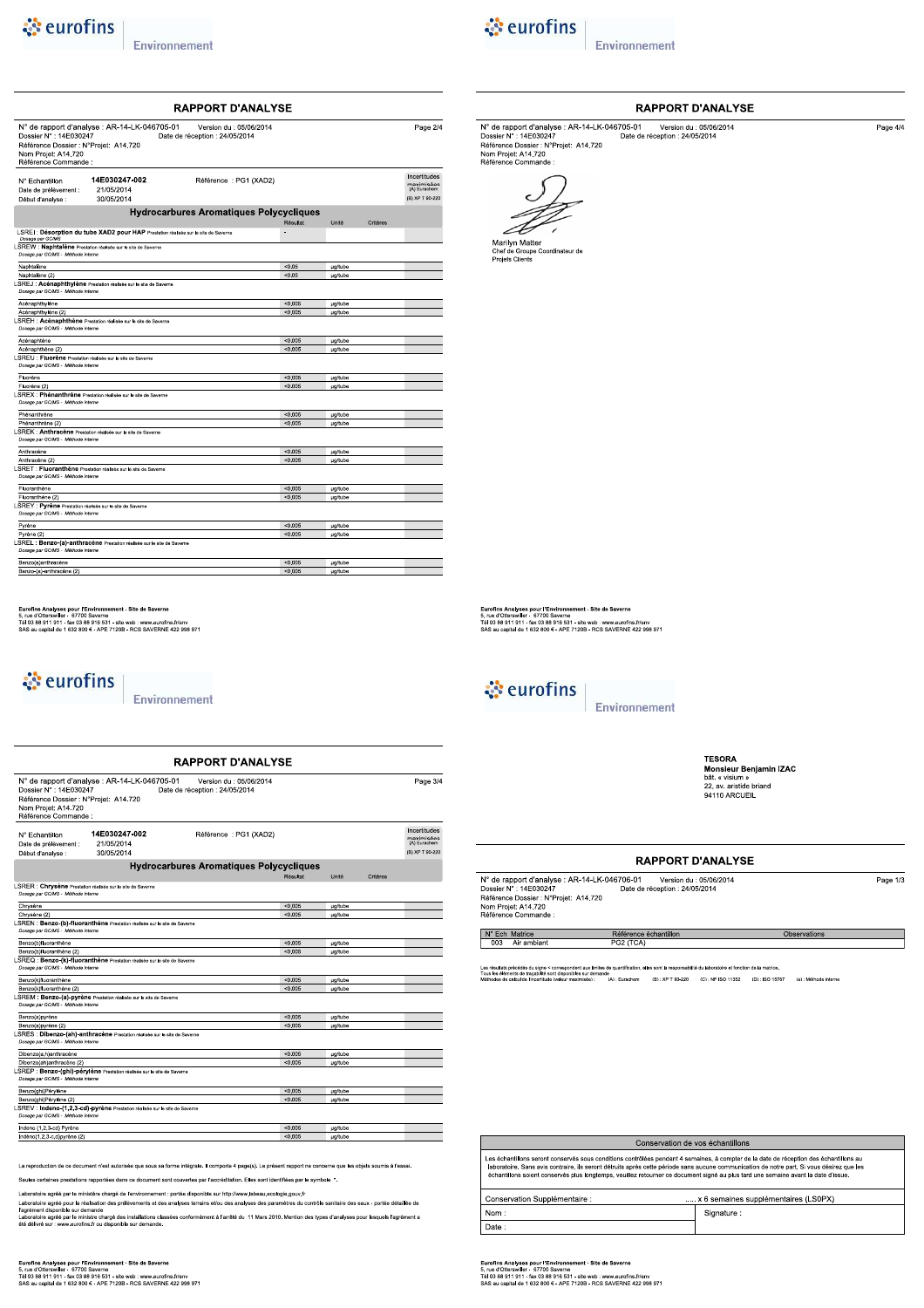## ं eurofins

Anthracène (2)<br>LSRET : Fluoranthène Prestation réalisée sur le site de Save<br>Dosage par GCMS - Méthode interne

i Tyriene<br>**Explore (2)**<br>LSREL : **Benzo-(a)-anthracène** Prestation réalisée sur le site de Sa<br>*Dosage par GCMS - Méthode interne* 

Eurofins Analyses pour l'Environnement - Site de Saverne<br>5, rue d'Otterswiller - 67770 Saverne<br>Tél 03 88 911 911 - fax 03 88 916 531 - site web : www.eurofins.frienv<br>SAS au capital de 1 632 800 € - APE 7120B - RCS SAVERNE

Environnement

N° de rapport d'analyse : AR-14-LK-046705-01<br>
Dossier N° : 14E030247<br>
Référence Dossier : N°Projet: A14.720<br>
Pate de réception : 24/05/2014<br>
Référence Dossier : N°Projet: A14.720<br>
Référence Commande :

14E030247-002

21/05/2014 30/05/2014

**LSRER : Chrysène** Prestation réalisée sur le site de Sa<br>Dosage par GCMS - Méthode interne

Chrysène (2)<br>LSREN : Benzo-(b)-fluoranthène Prestation réalisée sur le site de<br>Dosage par GCMS - Méthode interne

Dibenzo(ah)anthracène (2)<br>LSREP : Benzo-(ghi)-pérylène Prestation réalisée sur le site de S<br>Dosage par GCMS - Méthode interne

sée sur le site de Sa

Seules certaines prestations rapportées dans ce document sont couvertes par l'accréditation. Elles sont identifiées par le symbole \*.

La reproduction de ce document n'est autorisée que sous sa forme intégrale. Il comporte 4 page(s). Le présent rapport ne concerne que les objets soumis à l'essai

Laboratoire agréé par le ministère chargé de l'environnement : portée disponible sur http://www.labeau.ecologie.gouv.fr<br>Laboratoire agréé pour la réalisation des prélèvements et des analyses terrains et/ou des analyses des

**RAPPORT D'ANALYSE** 

Référence : PG1 (XAD2)

**Hydrocarbures Aromatiques Polycycliques** 

 $\overline{An}$ 

Fluoranthèn Fluoranthène (2)<br>LSREY : Pyrène<br>Dosage par GCMS -

Benzo(a)anthracène

N° Echantillon Date de prélèvement :<br>Début d'analyse :

Benzo(b)fluoranthène

zo(k)fluoranthè

Dibenzo(a,h)anthracèr

Benzo(ghi)Pérylène

Indeno (1,2,3-cd) Pyrèn

Benzo(b)fluoranthène (2)<br>LSREQ : Benzo-(k)-fluoranthène<br>Comparanthène Methode interne

Benzo(k)fluoranthène (2)<br>LSREM : Benzo-(a)-pyrène Prest<br>Dossge par GCMS - Méthode interne Benzo(a)pyrène

Benzo(a)pyrène (2)<br>LSRES : Dibenzo-(ah)-anthracène Pi

Benzo(ghi)Pérylène (2)<br>LSREV : Indeno-(1,2,3-cd)-pyrène Pre<br>Dossge per GCMS - Méthode interne

 $rac{\overline{C}}{\underline{C}}$ 

Benzo-(a)-anthracène (2

*<u><i>* eurofins</u>

Environnement



Environnement

|                                                                                                               |                                                                                    | <b>RAPPORT D'ANALYSE</b>                                  |          |                |          |                                                               |
|---------------------------------------------------------------------------------------------------------------|------------------------------------------------------------------------------------|-----------------------------------------------------------|----------|----------------|----------|---------------------------------------------------------------|
| Dossier N°: 14E030247<br>Référence Dossier : N°Proiet: A14.720<br>Nom Projet: A14.720<br>Référence Commande : | N° de rapport d'analyse : AR-14-LK-046705-01                                       | Version du : 05/06/2014<br>Date de réception : 24/05/2014 |          |                |          | Page 2/4                                                      |
| N° Fchantillon<br>Date de prélèvement :<br>Début d'analyse :                                                  | 14E030247-002<br>21/05/2014<br>30/05/2014                                          | Référence : PG1 (XAD2)                                    |          |                |          | Incertitudes<br>maximisées<br>(A) Eurachem<br>(B) XP T 90-220 |
|                                                                                                               |                                                                                    | <b>Hydrocarbures Aromatiques Polycycliques</b>            |          |                |          |                                                               |
|                                                                                                               |                                                                                    |                                                           | Résultat | Unité          | Critères |                                                               |
| Dosage par GC/MS                                                                                              | LSREI: Désorption du tube XAD2 pour HAP Prestation réalisée sur le site de Saverne |                                                           | ٠        |                |          |                                                               |
|                                                                                                               | LSREW : Naphtalène Prestation réalisée sur le site de Saverne                      |                                                           |          |                |          |                                                               |
| Dosage par GC/MS - Méthode interne                                                                            |                                                                                    |                                                           |          |                |          |                                                               |
| Naphtalène                                                                                                    |                                                                                    |                                                           | < 0.05   | <b>µg/tube</b> |          |                                                               |
| Naphtalène (2)                                                                                                |                                                                                    |                                                           | < 0.05   | µg/tube        |          |                                                               |
| Dosage par GC/MS - Méthode interne                                                                            | LSREJ : Acénaphthylène Prestation réalisée sur le site de Saverne                  |                                                           |          |                |          |                                                               |
| Acénaphthylène                                                                                                |                                                                                    |                                                           | < 0.005  | ug/tube        |          |                                                               |
| Acénaphthylène (2)                                                                                            |                                                                                    |                                                           | < 0.005  | <b>ug/tube</b> |          |                                                               |
|                                                                                                               | LSREH : Acénaphthène Prestation réalisée sur le site de Saverne                    |                                                           |          |                |          |                                                               |
| Dosage par GC/MS - Méthode interne                                                                            |                                                                                    |                                                           |          | <b>µg/tube</b> |          |                                                               |
| Acénaphtène                                                                                                   |                                                                                    |                                                           | < 0.005  |                |          |                                                               |
| Acénaphthène (2)                                                                                              |                                                                                    |                                                           | < 0.005  | <b>µg/tube</b> |          |                                                               |
| Dosage par GC/MS - Méthode interne                                                                            |                                                                                    |                                                           |          |                |          |                                                               |
| Fluorène                                                                                                      |                                                                                    |                                                           | < 0.005  | ua/tube        |          |                                                               |
| Fluorène (2)                                                                                                  |                                                                                    |                                                           | < 0.005  | ug/tube        |          |                                                               |
| Dossoe par GC/MS - Méthode interne                                                                            | LSREX : Phénanthrène Prestation réalisée sur le site de Saverne                    |                                                           |          |                |          |                                                               |
| LSREU : Fluorène Prestation réalisée sur le site de Saverne<br>Phénanthrène                                   |                                                                                    |                                                           | < 0.005  | ug/tube        |          |                                                               |

µg/tub

**ug/tut** 

ug/tul

µg/tub

**µg/tube** 

 $50.00$ 

### RAPPORT D'ANALYSE

Page  $4/4$ 

N° de rapport d'analyse : AR-14-LK-046705-01<br>
Dossier N° : 14E030247<br>
Référence Dossier : N°Frojet: A14.720<br>
Pate de réception : 24/05/2014<br>
Nom Projet: A14.720<br>
Référence Commande :



Eurofins Analyses pour l'Environnement - Site de Saverne<br>5, rue d'Otterswiller - 67700 Saverne<br>Tél 03 88 911 911 - fax 03 88 916 531 - site web : www.eurofins.frienv<br>SAS au capital de 1 632 800 € - APE 7120B - RCS SAVERNE



Page  $3/4$ 

Incertitudes<br>maximisées<br>(A) Eurachem

(B) XP T 90-22

Environnement

**TESORA HESORA<br>Monsieur Benjamin IZAC**<br>bât. « visium »<br>22, av. aristide briand<br>94110 ARCUEIL

Observations

### **RAPPORT D'ANALYSE**

| N° de rapport d'analyse : AR-14-LK-046706-01 | Version du : 05/06/2014        | Page 1/3 |
|----------------------------------------------|--------------------------------|----------|
| Dossier N°: 14E030247                        | Date de réception : 24/05/2014 |          |
| Référence Dossier : N°Projet: A14.720        |                                |          |
| Nom Projet: A14.720                          |                                |          |
| Référence Commande :                         |                                |          |

 $N^{\circ}$  Ech Matrice<br>003 Air ambiant

Les résultat<br>Tous les élé précédés du signe < correspondent aux limites<br>nents de traçabilité sont disponibles sur deman<br>codeul de l'incertitude (valeur maximisée) : 5e<br>(A):Eurachem (B):XP T 90-220 (C):NF ISO 11352 (D):ISO 15767 (e):Méthode interne

Référence échantillon<br>PG2 (TCA)

| Conservation de vos échantillons                                                                                                                                                                                                                                                                                                                                                                                           |  |  |  |  |  |  |
|----------------------------------------------------------------------------------------------------------------------------------------------------------------------------------------------------------------------------------------------------------------------------------------------------------------------------------------------------------------------------------------------------------------------------|--|--|--|--|--|--|
| Les échantillons seront conservés sous conditions contrôlées pendant 4 semaines, à compter de la date de réception des échantillons au<br>laboratoire. Sans avis contraire, ils seront détruits après cette période sans aucune communication de notre part. Si vous désirez que les<br>échantillons soient conservés plus longtemps, veuillez retourner ce document signé au plus tard une semaine avant la date d'issue. |  |  |  |  |  |  |
| x 6 semaines supplémentaires (LS0PX)<br>Conservation Supplémentaire :                                                                                                                                                                                                                                                                                                                                                      |  |  |  |  |  |  |
| Nom:<br>Signature:                                                                                                                                                                                                                                                                                                                                                                                                         |  |  |  |  |  |  |
| Date:                                                                                                                                                                                                                                                                                                                                                                                                                      |  |  |  |  |  |  |

Eurofins Analyses pour l'Environnement - Site de Saverne<br>5, rue d'Otterswiller - 67700 Saverne<br>Tél 03 88 911 911 - fax 03 88 916 531 - site web : www.eurofins.frienv<br>SAS au capital de 1 632 800 € - APE 7120B - RCS SAVERNE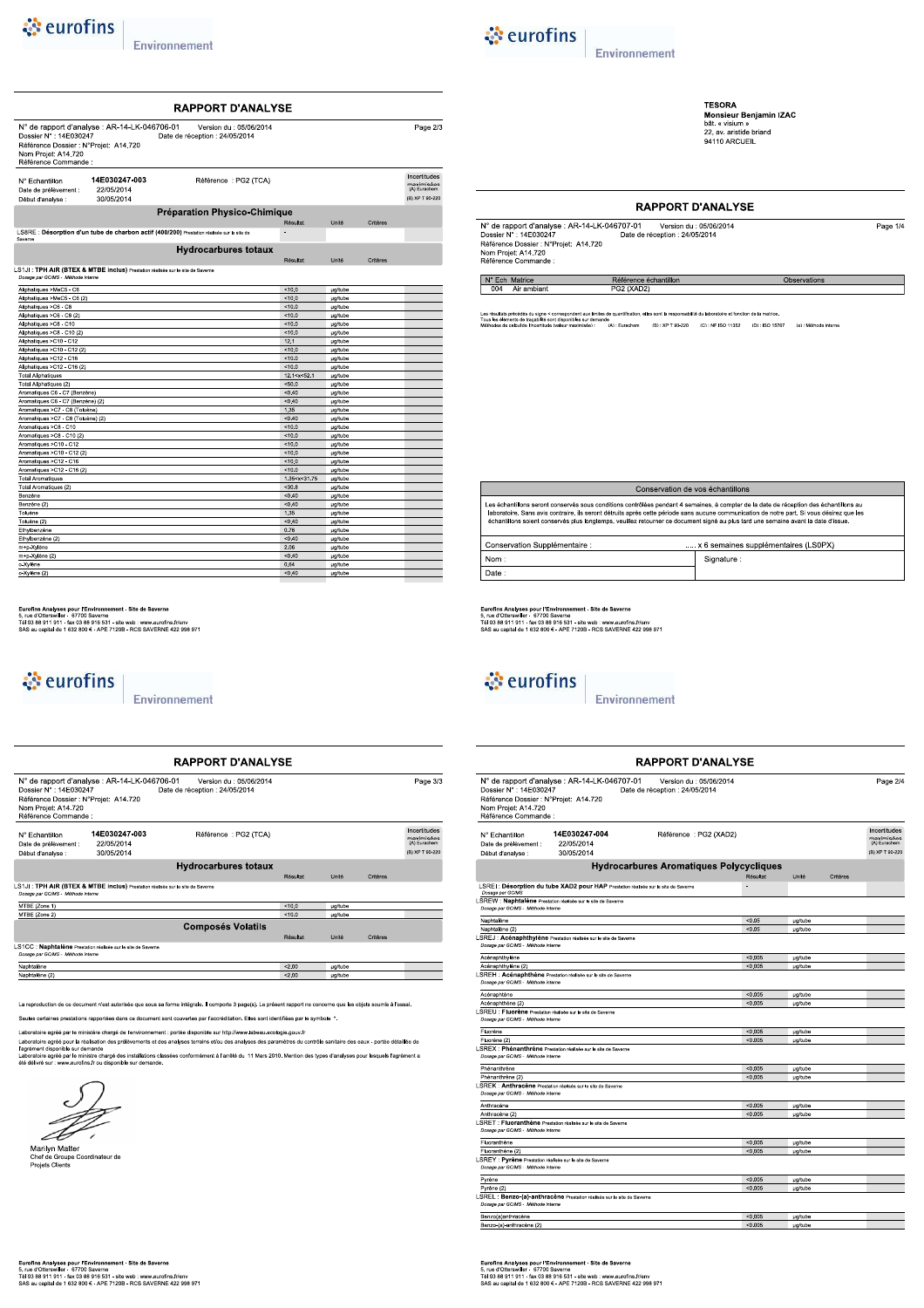| $\bullet$ eurofins |  |
|--------------------|--|
|                    |  |



**TESORA<br>Monsieur Benjamin IZAC**<br>bât. « visium »<br>22, av. aristide briand<br>94110 ARCUEIL

Observations

### **RAPPORT D'ANALYSE**

| N° de rapport d'analyse : AR-14-LK-046707-01 | Version du : 05/06/2014        | Page 1/4 |
|----------------------------------------------|--------------------------------|----------|
| Dossier N° : 14E030247                       | Date de réception : 24/05/2014 |          |
| Référence Dossier : N°Projet: A14.720        |                                |          |
| Nom Projet: A14.720                          |                                |          |
| Pófóronco Commondo -                         |                                |          |

N° Ech Matrice

Page  $2/3$ 

Incertitudes<br>maximisées<br>(A) Eurachem

(B) XP T 90-220

.<br>ation, elles sont la responsabilité du laboratoire et fonction de la matrici Les résultats précédés du signe < correspondent aux limites de<br>Tous les éléments de traçabilité sont disponibles sur demande<br>Méthodes de calcul de l'incertitude (valeur maximisée) »<br>- (A) : Eurachem = - (B) : XP T 90-220 = - (C) : NF ISO 11352 = - (D) : ISO 15767 = - (e) : Méthode Interne

Référence échantillon

|  | Conservation de vos échantillons<br>Les échantillons seront conservés sous conditions contrôlées pendant 4 semaines, à compter de la date de réception des échantillons au<br>laboratoire. Sans avis contraire, ils seront détruits après cette période sans aucune communication de notre part. Si vous désirez que les<br>échantillons soient conservés plus longtemps, veuillez retourner ce document signé au plus tard une semaine avant la date d'issue.<br>Conservation Supplémentaire :<br>x 6 semaines supplémentaires (LS0PX) |  |  |  |  |  |
|--|-----------------------------------------------------------------------------------------------------------------------------------------------------------------------------------------------------------------------------------------------------------------------------------------------------------------------------------------------------------------------------------------------------------------------------------------------------------------------------------------------------------------------------------------|--|--|--|--|--|
|  |                                                                                                                                                                                                                                                                                                                                                                                                                                                                                                                                         |  |  |  |  |  |
|  |                                                                                                                                                                                                                                                                                                                                                                                                                                                                                                                                         |  |  |  |  |  |
|  | Nom:<br>Signature:                                                                                                                                                                                                                                                                                                                                                                                                                                                                                                                      |  |  |  |  |  |
|  | Date:                                                                                                                                                                                                                                                                                                                                                                                                                                                                                                                                   |  |  |  |  |  |

Eurofins Analyses pour l'Environnement - Site de Saverne<br>5, rue d'Otterswiller - 67700 Saverne<br>Tél 03 88 911 911 - fax 03 88 916 531 - site web : www.eurofins.frienv<br>SAS au capital de 1 632 800 € - APE 7120B - RCS SAVERNE

## ं eurofins

Environnement

|                                                                                                  |                                                                                     | <b>RAPPORT D'ANALYSE</b>                                  |          |         |          |                                               |
|--------------------------------------------------------------------------------------------------|-------------------------------------------------------------------------------------|-----------------------------------------------------------|----------|---------|----------|-----------------------------------------------|
| Dossier N° : 14E030247<br>Référence Dossier : N°Projet: A14.720                                  | N° de rapport d'analyse : AR-14-LK-046707-01                                        | Version du : 05/06/2014<br>Date de réception : 24/05/2014 |          |         |          | Page 2/4                                      |
| Nom Projet: A14.720<br>Référence Commande :                                                      |                                                                                     |                                                           |          |         |          |                                               |
| N° Echantillon                                                                                   | 14E030247-004                                                                       | Référence : PG2 (XAD2)                                    |          |         |          | Incertitudes                                  |
| Date de prélèvement :<br>Début d'analyse :                                                       | 22/05/2014<br>30/05/2014                                                            |                                                           |          |         |          | maximisées<br>(A) Eurachem<br>(B) XP T 90-220 |
|                                                                                                  |                                                                                     | <b>Hydrocarbures Aromatiques Polycycliques</b>            |          |         |          |                                               |
|                                                                                                  |                                                                                     |                                                           | Résultat | Unité   | Critères |                                               |
| Dosage par GC/MS                                                                                 | LSREI : Désorption du tube XAD2 pour HAP Prestation réalisée sur le site de Saverne |                                                           |          |         |          |                                               |
| Dosage par GC/MS - Méthode interne                                                               | SREW : Naphtalène Prestation réalisée sur le site de Saverne                        |                                                           |          |         |          |                                               |
| Naphtalène                                                                                       |                                                                                     |                                                           | < 0.05   | µg/tube |          |                                               |
| Naphtalène (2)                                                                                   |                                                                                     |                                                           | < 0.05   | µg/tube |          |                                               |
| Dosage par GC/MS - Méthode interne                                                               | SREJ : Acénaphthylène Prestation réalisée sur le site de Saverne                    |                                                           |          |         |          |                                               |
| Acénaphthylène                                                                                   |                                                                                     |                                                           | < 0.005  | µg/tube |          |                                               |
| Acénaphthylène (2)                                                                               |                                                                                     |                                                           | < 0.005  | µg/tube |          |                                               |
| Dosage par GC/MS - Méthode interne                                                               | SREH : Acénaphthène Prestation réalisée sur le site de Saverne                      |                                                           |          |         |          |                                               |
| Acénaphtène                                                                                      |                                                                                     |                                                           | < 0.005  | µg/tube |          |                                               |
| Acénaphthène (2)                                                                                 |                                                                                     |                                                           | < 0.005  | µg/tube |          |                                               |
| SREU : Fluorène Prestation réalisée sur le site de Saverne<br>Dosage par GC/MS - Méthode interne |                                                                                     |                                                           |          |         |          |                                               |
| Fluorène                                                                                         |                                                                                     |                                                           | < 0.005  | µg/tube |          |                                               |
| Fluorène (2)                                                                                     |                                                                                     |                                                           | < 0.005  | ua/tube |          |                                               |
| Dosage par GC/MS - Méthode interne                                                               | SREX : Phénanthrène Prestation réalisée sur le site de Saverne                      |                                                           |          |         |          |                                               |
| Phénanthrène                                                                                     |                                                                                     |                                                           | < 0.005  | µg/tube |          |                                               |
| Phénanthrène (2)                                                                                 |                                                                                     |                                                           | < 0.005  | µg/tube |          |                                               |
| Dosage par GC/MS - Méthode interne                                                               | SREK: Anthracène Prestation réalisée sur le site de Saverne                         |                                                           |          |         |          |                                               |
| Anthracène                                                                                       |                                                                                     |                                                           | < 0.005  | µg/tube |          |                                               |
| Anthracène (2)                                                                                   |                                                                                     |                                                           | < 0.005  | µg/tube |          |                                               |
| Dosage par GC/MS - Méthode interne                                                               | SRET : Fluoranthène Prestation réalisée sur le site de Saverne                      |                                                           |          |         |          |                                               |
| Fluoranthène                                                                                     |                                                                                     |                                                           | < 0.005  | µg/tube |          |                                               |
| Fluoranthène (2)                                                                                 |                                                                                     |                                                           | < 0.005  | µg/tube |          |                                               |
| SREY : Pyrène Prestation réalisée sur le site de Saverne<br>Dosage par GC/MS - Méthode interne   |                                                                                     |                                                           |          |         |          |                                               |
| Pyrène                                                                                           |                                                                                     |                                                           | < 0.005  | µg/tube |          |                                               |
| Pyrène (2)                                                                                       |                                                                                     |                                                           | < 0.005  | µg/tube |          |                                               |
| Dosage par GC/MS - Méthode interne                                                               | SREL : Benzo-(a)-anthracène Prestation réalisée sur le site de Saverne              |                                                           |          |         |          |                                               |
| Benzo(a)anthracène                                                                               |                                                                                     |                                                           | < 0.005  | µg/tube |          |                                               |
| Benzo-(a)-anthracène (2)                                                                         |                                                                                     |                                                           | < 0.005  | µg/tube |          |                                               |

#### N° de rapport d'analyse : AR-14-LK-046706-01<br>
Dossier N° : 14E030247<br>
Référence Dossier : N°Frojet: A14.720<br>
Date de réception : 24/05/2014<br>
Nom Projet: A14.720<br>
Référence Commande : 14E030247-003 N° Echantillon Référence : PG2 (TCA) Date de prélèvement<br>Début d'analyse : 22/05/2014  $30/05/2014$ Préparation Physico-Chimique LS8RE : Désorption d'un tube de charbon actif (400/200) Prestation réalisée sur le site de Hydrocarbures totaux .<br>Résultat Unité Critère LS1JI : TPH AIR (BTEX & MTBE inclus) Prestation réalisée sur le site de Save

RAPPORT D'ANALYSE

| Aliphatiques >MeC5 - C6            | 10.0                                             | ug/tube        |
|------------------------------------|--------------------------------------------------|----------------|
| Aliphatiques >MeC5 - C6 (2)        | 10.0                                             | ug/tube        |
| Aliphatiques >C6 - C8              | 10.0                                             | µg/tube        |
| Aliphatiques >C6 - C8 (2)          | 10.0                                             | µg/tube        |
| Aliphatiques >C8 - C10             | 10.0                                             | ug/tube        |
| Aliphatiques >C8 - C10 (2)         | 10.0                                             | <b>ug/tube</b> |
| Aliphatiques >C10 - C12            | 12.1                                             | µg/tube        |
| Aliphatiques >C10 - C12 (2)        | 10.0                                             | ug/tube        |
| Aliphatiques >C12 - C16            | 10.0                                             | ug/tube        |
| Aliphatiques >C12 - C16 (2)        | 10.0                                             | <b>ug/tube</b> |
| <b>Total Aliphatiques</b>          | 12.1 < x < 52.1                                  | µg/tube        |
| Total Aliphatiques (2)             | < 50.0                                           | ug/tube        |
| Aromatiques C6 - C7 (Benzène)      | < 0.40                                           | ug/tube        |
| Aromatiques C6 - C7 (Benzène) (2)  | < 0.40                                           | µg/tube        |
| Aromatiques >C7 - C8 (Toluène)     | 1.35                                             | µg/tube        |
| Aromatiques >C7 - C8 (Toluène) (2) | < 0.40                                           | ug/tube        |
| Aromatiques >C8 - C10              | 10.0                                             | ug/tube        |
| Aromatiques >C8 - C10 (2)          | 10.0                                             | <b>µg/tube</b> |
| Aromatiques >C10 - C12             | 10.0                                             | <b>µg/tube</b> |
| Aromatiques >C10 - C12 (2)         | < 10.0                                           | ug/tube        |
| Aromatiques >C12 - C16             | 10.0                                             | <b>µg/tube</b> |
| Aromatiques >C12 - C16 (2)         | 10.0                                             | ug/tube        |
| <b>Total Aromatiques</b>           | 1.35 <x<31.75< td=""><td>µg/tube</td></x<31.75<> | µg/tube        |
| Total Aromatiques (2)              | $30.8$                                           | <b>µg/tube</b> |
| Benzène                            | < 0.40                                           | <i>ug/tube</i> |
| Benzène (2)                        | < 0.40                                           | µg/tube        |
| Toluène                            | 1.35                                             | µg/tube        |
| Toluène (2)                        | < 0.40                                           | ug/tube        |
| Ethylbenzène                       | 0.76                                             | <b>µg/tube</b> |
| Ethylbenzène (2)                   | < 0.40                                           | ug/tube        |
| m+p-Xylène                         | 2.06                                             | µg/tube        |
| m+p-Xylène (2)                     | < 0.40                                           | ug/tube        |
| o-Xylène                           | 0.64                                             | <b>µg/tube</b> |
| o-Xylène (2)                       | < 0.40                                           | <b>µg/tube</b> |
|                                    |                                                  |                |

Eurofins Analyses pour l'Environnement - Site de Saverne<br>5, rue d'Otterswiller - 67770 Saverne<br>Tél 03 88 911 911 - fax 03 88 916 531 - site web : www.eurofins.fr/env<br>SAS au capital de 1 632 800 € - APE 7120B - RCS SAVERNE

## ें eurofins

#### Environnement

| Dossier N° : 14E030247<br>Référence Dossier : N°Projet: A14.720<br>Nom Projet: A14.720<br>Référence Commande : | N° de rapport d'analyse : AR-14-LK-046706-01                                   | Version du : 05/06/2014<br>Date de réception : 24/05/2014 |          |                |          | Page 3/3                                                      |
|----------------------------------------------------------------------------------------------------------------|--------------------------------------------------------------------------------|-----------------------------------------------------------|----------|----------------|----------|---------------------------------------------------------------|
| N° Echantillon<br>Date de prélèvement :<br>Début d'analyse :                                                   | 14E030247-003<br>22/05/2014<br>30/05/2014                                      | Référence: PG2 (TCA)                                      |          |                |          | Incertitudes<br>maximisées<br>(A) Eurachem<br>(B) XP T 90-220 |
|                                                                                                                |                                                                                | <b>Hydrocarbures totaux</b>                               |          |                |          |                                                               |
|                                                                                                                |                                                                                |                                                           | Résultat | Unité          | Critères |                                                               |
| Dosage par GC/MS - Méthode interne                                                                             | LS1JI: TPH AIR (BTEX & MTBE inclus) Prestation réalisée sur le site de Saverne |                                                           |          |                |          |                                                               |
| MTBE (Zone 1)                                                                                                  |                                                                                |                                                           | < 10.0   | <b>µg/tube</b> |          |                                                               |
| MTBE (Zone 2)                                                                                                  |                                                                                |                                                           | 10.0     | ua/tube        |          |                                                               |
|                                                                                                                |                                                                                | <b>Composés Volatils</b>                                  |          |                |          |                                                               |
|                                                                                                                |                                                                                |                                                           | Résultat | <b>Unité</b>   | Critères |                                                               |
| Dosage par GC/MS - Méthode interne                                                                             | LS1CC : Naphtalène Prestation réalisée sur le site de Saverne                  |                                                           |          |                |          |                                                               |
| Naphtalène                                                                                                     |                                                                                |                                                           | < 2.00   | <b>µg/tube</b> |          |                                                               |
|                                                                                                                |                                                                                |                                                           | 2.00     | ua/tube        |          |                                                               |

Seules certaines prestations rapportées dans ce document sont couvertes par l'accréditation. Elles sont identifiées par le symbole \*.

Laboratoire agréé par le ministère chargé de l'environnement : portée disponible sur http://www.labeau.ecologie.gouv.fr

Laboratore agree par e ministere charge oe renvormement : ponee oisponible sur mp://www.labeau.ecologie.gouv.tr<br>Laboratoire agréé pour la réalisation des prélèvements et des analyses terrains elfou des paramètres du contrô



Marilyn Matter<br>Chef de Groupe Coordinateur de<br>Projets Clients

Eurofins Analyses pour l'Environnement - Site de Saverne<br>5, rue d'Otterswiller - 67700 Saverne<br>Tél 03 88 911 911 - fax 03 88 916 531 - site web : www.eurofins.frienv<br>SAS au capital de 1 632 800 € - APE 7120B - RCS SAVERNE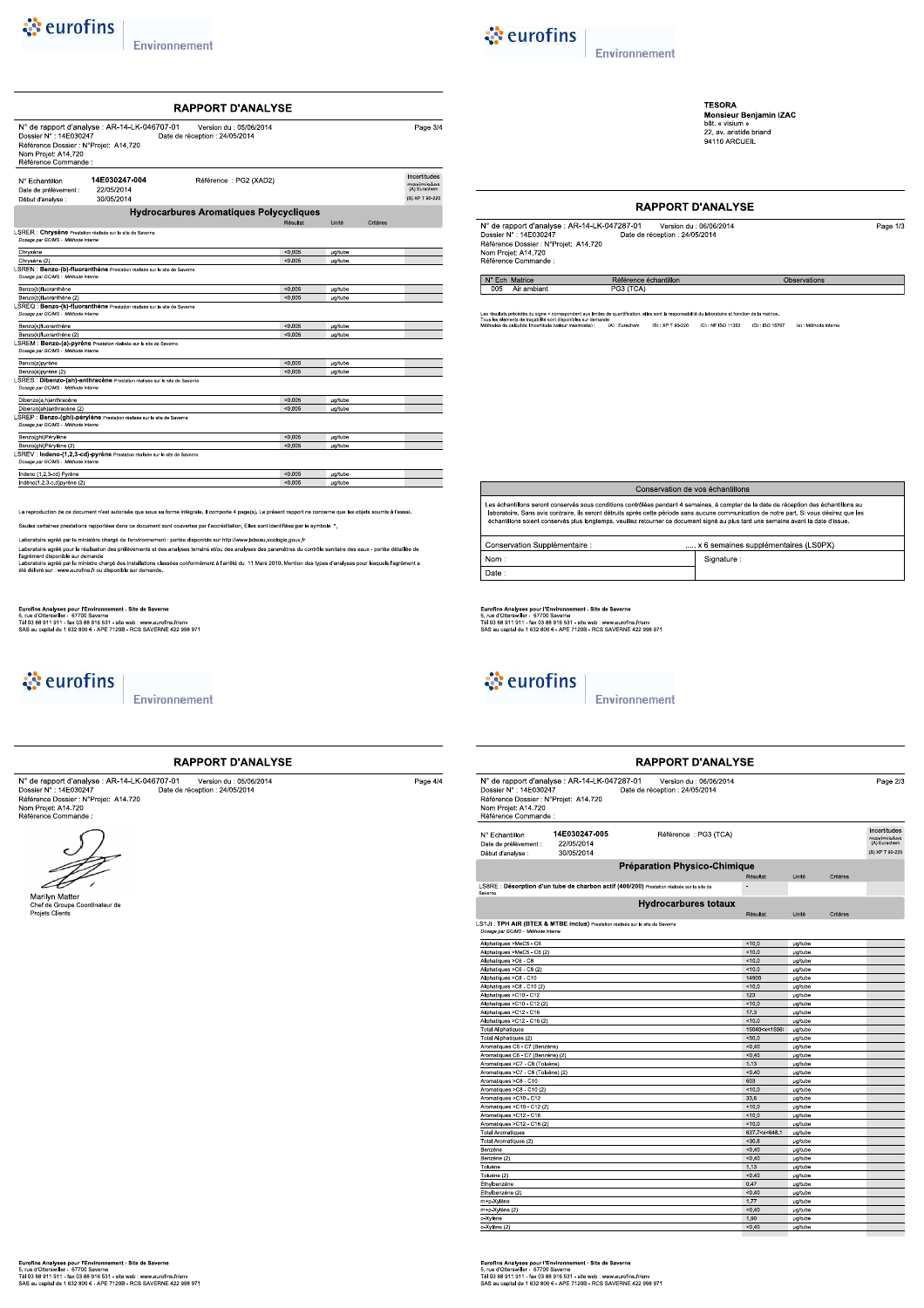## *<u>is eurofins</u>*

Environnement

N° de rapport d'analyse : AR-14-LK-046707-01<br>
Dossier N° : 14E030247<br>
Référence Dossier : N°Frojet: A14.720<br>
Date de réception : 24/05/2014<br>
Nom Projet: A14.720<br>
Référence Commande :

RAPPORT D'ANALYSE



Signature

**TESORA**<br>Monsieur Benjamin IZAC<br>bât. « visium »<br>22, av. aristide briand<br>94110 ARCUEIL

Observations

### **RAPPORT D'ANALYSE**

| N° de rapport d'analyse : AR-14-LK-047287-01 | Version du : 06/06/2014        | Page 1/3 |
|----------------------------------------------|--------------------------------|----------|
| Dossier N°: 14E030247                        | Date de réception : 24/05/2014 |          |
| Référence Dossier : N°Projet: A14.720        |                                |          |
| Nom Projet: A14.720                          |                                |          |
| Référence Commande :                         |                                |          |

N° Ech Matrice

Page 3/4

Incertitudes

maximisées<br>(A) Eurachem

(B) XP T 90-22

.<br>Ition, elles sont la responsabilité du laboratoire et fonction de la matric précédés du signe < correspondent aux limites de<br>nents de traçabilité sont disponibles sur demande<br>colout de l'incortitude (unique movimiente) »<br>- (A) : Eurachem = - (B) : XP T 90-220 = - (C) : NF ISO 11352 = - (D) : ISO 15767 = - (e) : Méthode Interne

Référence échantillon

|                  |                               | Conservation de vos échantillons                                                                                                                                                                                                                                                                                                                                                                                           |
|------------------|-------------------------------|----------------------------------------------------------------------------------------------------------------------------------------------------------------------------------------------------------------------------------------------------------------------------------------------------------------------------------------------------------------------------------------------------------------------------|
| oumis à l'essai. |                               | Les échantillons seront conservés sous conditions contrôlées pendant 4 semaines, à compter de la date de réception des échantillons au<br>laboratoire. Sans avis contraire, ils seront détruits après cette période sans aucune communication de notre part. Si vous désirez que les<br>échantillons soient conservés plus longtemps, veuillez retourner ce document signé au plus tard une semaine avant la date d'issue. |
|                  | Concorvation Quantámontaire - | v 8 compinee cupolémentoires (LCODY)                                                                                                                                                                                                                                                                                                                                                                                       |

Eurofins Analyses pour l'Environnement - Site de Saverne<br>5, rue d'Otterswiller - 67700 Saverne<br>Tél 03 88 911 911 - fax 03 88 916 531 - site web : www.eurofins.frienv<br>SAS au capital de 1 632 800 € - APE 7120B - RCS SAVERNE

& eurofins

 $Norm:$ 

Date

Page  $4/4$ 

Environnement

|                                                                                                               |                                              | <b>RAPPORT D'ANALYSE</b>                                                                   |                                                                            |                                  |          |                                                               |
|---------------------------------------------------------------------------------------------------------------|----------------------------------------------|--------------------------------------------------------------------------------------------|----------------------------------------------------------------------------|----------------------------------|----------|---------------------------------------------------------------|
| Dossier N°: 14E030247<br>Référence Dossier : N°Projet: A14.720<br>Nom Projet: A14.720<br>Référence Commande : | N° de rapport d'analyse : AR-14-LK-047287-01 | Version du : 06/06/2014<br>Date de réception : 24/05/2014                                  |                                                                            |                                  |          | Page 2/                                                       |
| N° Echantillon<br>Date de prélèvement :<br>Début d'analyse :                                                  | 14E030247-005<br>22/05/2014<br>30/05/2014    | Référence : PG3 (TCA)                                                                      |                                                                            |                                  |          | Incertitudes<br>maximisées<br>(A) Eurachem<br>(B) XP T 90-220 |
|                                                                                                               |                                              | <b>Préparation Physico-Chimique</b>                                                        |                                                                            |                                  |          |                                                               |
|                                                                                                               |                                              |                                                                                            |                                                                            |                                  |          |                                                               |
|                                                                                                               |                                              |                                                                                            | Résultat<br>$\overline{\phantom{a}}$                                       | Unité                            | Critères |                                                               |
| Saverne                                                                                                       |                                              | LS8RE : Désorption d'un tube de charbon actif (400/200) Prestation réalisée sur le site de |                                                                            |                                  |          |                                                               |
|                                                                                                               |                                              | <b>Hydrocarbures totaux</b>                                                                |                                                                            |                                  |          |                                                               |
|                                                                                                               |                                              |                                                                                            | Résultat                                                                   | Unité                            | Critères |                                                               |
| LS1JI: TPH AIR (BTEX & MTBE inclus) Prestation réalisée sur le site de Saverne                                |                                              |                                                                                            |                                                                            |                                  |          |                                                               |
| Dosage par GC/MS - Méthode interne                                                                            |                                              |                                                                                            |                                                                            |                                  |          |                                                               |
| Aliphatiques >MeC5 - C6                                                                                       |                                              |                                                                                            | < 10.0                                                                     | <b>µg/tube</b>                   |          |                                                               |
| Aliphatiques >MeC5 - C6 (2)                                                                                   |                                              |                                                                                            | 10.0                                                                       | µg/tube                          |          |                                                               |
| Aliphatiques >C6 - C8                                                                                         |                                              |                                                                                            | 10.0                                                                       | µg/tube                          |          |                                                               |
| Aliphatiques >C6 - C8 (2)                                                                                     |                                              |                                                                                            | < 10.0                                                                     | <b>µg/tube</b>                   |          |                                                               |
| Aliphatiques >C8 - C10                                                                                        |                                              |                                                                                            | 14900                                                                      | <b>µg/tube</b>                   |          |                                                               |
| Aliphatiques >C8 - C10 (2)                                                                                    |                                              |                                                                                            | 10.0                                                                       | µg/tube                          |          |                                                               |
| Aliphatiques >C10 - C12                                                                                       |                                              |                                                                                            | 123                                                                        | µg/tube                          |          |                                                               |
| Aliphatiques >C10 - C12 (2)                                                                                   |                                              |                                                                                            | 10.0                                                                       | <b>µg/tube</b>                   |          |                                                               |
| Aliphatiques >C12 - C16                                                                                       |                                              |                                                                                            | 17.3                                                                       | <b>µg/tube</b>                   |          |                                                               |
| Aliphatiques >C12 - C16 (2)                                                                                   |                                              |                                                                                            | 10.0                                                                       | µg/tube                          |          |                                                               |
| <b>Total Aliphatiques</b>                                                                                     |                                              |                                                                                            | 15040 <x<15060< td=""><td><b>µg/tube</b></td><td></td><td></td></x<15060<> | <b>µg/tube</b>                   |          |                                                               |
| <b>Total Aliphatiques (2)</b>                                                                                 |                                              |                                                                                            | 50.0                                                                       | <b>µg/tube</b>                   |          |                                                               |
| Aromatiques C6 - C7 (Benzène)                                                                                 |                                              |                                                                                            | < 0.40                                                                     | <b>µg/tube</b>                   |          |                                                               |
| Aromatiques C6 - C7 (Benzène) (2)                                                                             |                                              |                                                                                            | < 0.40                                                                     | µg/tube                          |          |                                                               |
| Aromatiques >C7 - C8 (Toluène)                                                                                |                                              |                                                                                            | 1.13                                                                       | µg/tube                          |          |                                                               |
| Aromatiques >C7 - C8 (Toluène) (2)                                                                            |                                              |                                                                                            | < 0.40                                                                     | <b>µg/tube</b>                   |          |                                                               |
| Aromatiques >C8 - C10                                                                                         |                                              |                                                                                            | 603                                                                        | <b>µg/tube</b>                   |          |                                                               |
| Aromatiques >C8 - C10 (2)                                                                                     |                                              |                                                                                            | 10.0                                                                       | µg/tube                          |          |                                                               |
| Aromatiques >C10 - C12                                                                                        |                                              |                                                                                            | 33.6                                                                       | <b>µg/tube</b>                   |          |                                                               |
| Aromatiques >C10 - C12 (2)                                                                                    |                                              |                                                                                            | < 10.0                                                                     | <b>µg/tube</b>                   |          |                                                               |
| Aromatiques >C12 - C16                                                                                        |                                              |                                                                                            | 10.0                                                                       | <b>µg/tube</b>                   |          |                                                               |
| Aromatiques >C12 - C16 (2)                                                                                    |                                              |                                                                                            | 10.0                                                                       | µg/tube                          |          |                                                               |
| <b>Total Aromatiques</b>                                                                                      |                                              |                                                                                            | 637.7 <x<648.1< td=""><td><b>µg/tube</b></td><td></td><td></td></x<648.1<> | <b>µg/tube</b>                   |          |                                                               |
| Total Aromatiques (2)<br>Benzène                                                                              |                                              |                                                                                            | $30.8$<br>0.40                                                             | <b>µg/tube</b>                   |          |                                                               |
| Benzène (2)                                                                                                   |                                              |                                                                                            | < 0.40                                                                     | <b>µg/tube</b><br><b>µg/tube</b> |          |                                                               |
| Toluène                                                                                                       |                                              |                                                                                            | 1.13                                                                       | µg/tube                          |          |                                                               |
| Toluène (2)                                                                                                   |                                              |                                                                                            | < 0.40                                                                     | <b>µg/tube</b>                   |          |                                                               |
| Ethylbenzène                                                                                                  |                                              |                                                                                            | 0.47                                                                       | µg/tube                          |          |                                                               |
| Ethylbenzène (2)                                                                                              |                                              |                                                                                            | < 0.40                                                                     | µg/tube                          |          |                                                               |
| m+p-Xylène                                                                                                    |                                              |                                                                                            | 1.77                                                                       | µg/tube                          |          |                                                               |
| m+p-Xylène (2)                                                                                                |                                              |                                                                                            | < 0.40                                                                     | µg/tube                          |          |                                                               |
| o-Xylène                                                                                                      |                                              |                                                                                            | 1.90                                                                       | <b>u</b> a/tube                  |          |                                                               |
| o-Xylène (2)                                                                                                  |                                              |                                                                                            | < 0.40                                                                     | <b>µg/tube</b>                   |          |                                                               |

14E030247-004 N° Echantillon Référence : PG2 (XAD2) Date de prélèvement 22/05/2014 Date de protonomie.<br>: Début d'analyse  $30/05/2014$ Hydrocarbures Aromatiques Polycycliques LSRER : Chrysène Prestation réalisée sur le site de Saverne<br>Dosage par GCMS - Méthode interne Chrysèr Chrysène (2)<br>LSREN : Benzo-(b)-fluoranthène P<br>Dosage par GCMS - Méthode interne Benzo(b)fluoranthène **ug/tub** Benzo(b)fluoranthène (2)<br>LSREQ : Benzo-(k)-fluoranthène Prestation réalisée sur le site de Save zo(k)fluora Benzo(k)fluoranthène (2)<br>LSREM : Benzo-(a)-pyrène Prestation réalisée sur le site de Saverne<br>Dosage par GCMS - Méthode interne Benzo(a)pyrène **ug/tub** Benzo(a)pyrène (2)<br>LSRES : Dibenzo-(ah)-anthracène P<br>CSRES : Dibenzo-(ah)-anthracène P  $\overline{D}$ nzo(a,h)anthracé Dibenzo(ah)anthracène (2)<br>LSREP : Benzo-(ghi)-pérylène<br>Dosage par GCMS - Méthode interne Benzo(ghi)Pérylène µg/tube Benzo(ghi)Pérylène (2)<br>LSREV : Indeno-(1,2,3-cd)-pyrène<br>Dosage par GCMS - Méthode interne

La reproduction de ce document n'est autorisée que sous sa forme intégrale. Il comporte 4 page(s). Le présent rapport ne concerne que les objets :

Seules certaines prestations rannortées dans ce document sont couvertes par l'accréditation. Elles sont identifiées par le symbole \*

Lohom .<br>Dire agréé par le ministère chargé de l'environnement : portée disponible sur http://www.labeau.ecologie.gouv.fr

Lautoraute agree par en illimate charge de reinvormement ; poree usponsible, transportant charge agree par la<br>Laboratoire agrée pour la réalisation des prélèvements et des analyses terrains elfou des analyses des paramètre

Eurofins Analyses pour l'Environnement - Site de Saverne<br>5, rue d'Otterswiller - 67770 Saverne<br>Tél 03 88 911 911 - fax 03 88 916 531 - site web : www.eurofins.fr/env<br>SAS au capital de 1 632 800 € - APE 7120B - RCS SAVERNE



Indeno (1,2,3-cd) Pyrèr<br>Indéno(1,2,3-c,d)pyrèn

Environnement

#### **RAPPORT D'ANALYSE**

N° de rapport d'analyse : AR-14-LK-046707-01 version du : 05/06/2014<br>Dossier N° : 14E030247 Date de réception : 24/05/2014<br>Référence Dossier : N°Projet: A14.720<br>Nom Projet: A14.720<br>Référence Commande :



Marilyn Matter<br>Chef de Groupe Coordinateur de<br>Projets Clients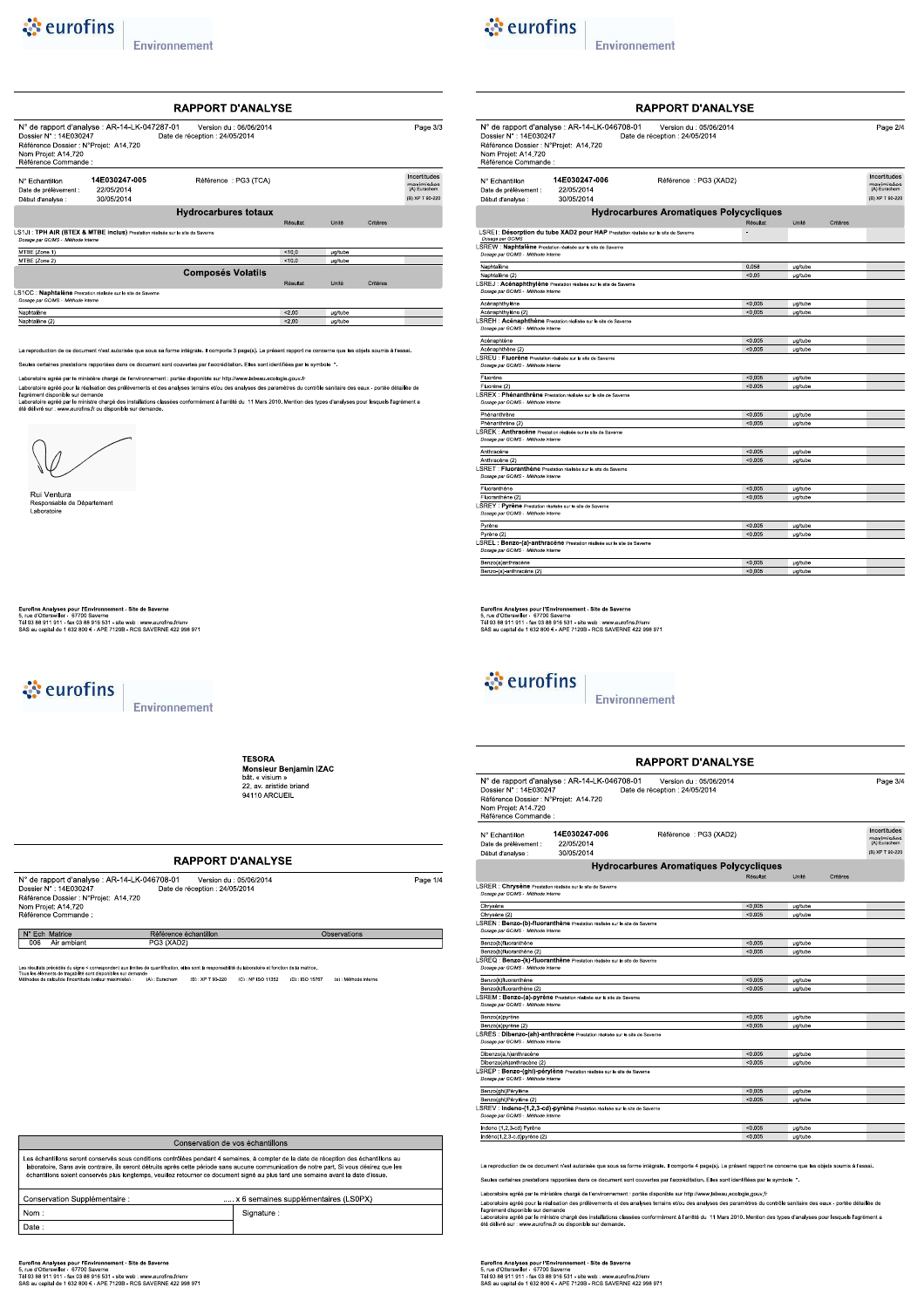

| <b>RAPPORT D'ANALYSE</b>                                                                                       |                                                                                |                                                           |          |                |          |                                                               |
|----------------------------------------------------------------------------------------------------------------|--------------------------------------------------------------------------------|-----------------------------------------------------------|----------|----------------|----------|---------------------------------------------------------------|
| Dossier N° : 14E030247<br>Référence Dossier : N°Projet: A14.720<br>Nom Projet: A14.720<br>Référence Commande : | N° de rapport d'analyse : AR-14-LK-047287-01                                   | Version du : 06/06/2014<br>Date de réception : 24/05/2014 |          |                |          | Page 3/3                                                      |
| N° Fchantillon<br>Date de prélèvement :<br>Début d'analyse :                                                   | 14E030247-005<br>22/05/2014<br>30/05/2014                                      | Référence: PG3 (TCA)                                      |          |                |          | Incertitudes<br>mavimieóge<br>(A) Eurachem<br>(B) XP T 90-220 |
|                                                                                                                |                                                                                | <b>Hydrocarbures totaux</b>                               | Résultat | Unité          | Critères |                                                               |
| Dossoe par GC/MS - Méthode interne                                                                             | LS1JI: TPH AIR (BTEX & MTBE inclus) Prestation réalisée sur le site de Saverne |                                                           |          |                |          |                                                               |
| MTBE (Zone 1)                                                                                                  |                                                                                |                                                           | < 10.0   | <b>ug/tube</b> |          |                                                               |
| MTBE (Zone 2)                                                                                                  |                                                                                |                                                           | < 10.0   | ua/tube        |          |                                                               |
|                                                                                                                |                                                                                | <b>Composés Volatils</b>                                  |          |                |          |                                                               |
|                                                                                                                |                                                                                |                                                           | Résultat | Unité          | Critères |                                                               |
| Dossoe par GC/MS - Méthode interne                                                                             | LS1CC : Naphtalène Prestation réalisée sur le site de Saverne                  |                                                           |          |                |          |                                                               |
|                                                                                                                |                                                                                |                                                           | 3200     | <b>µg/tube</b> |          |                                                               |
| Naphtalène                                                                                                     |                                                                                |                                                           |          |                |          |                                                               |

.<br>Iduction de ce document n'est autorisée que sous sa forme intégrale. Il comporte 3 page(s). Le présent rapport ne concerne que les objets soumis à l'essai

Seules certaines prestations rapportées dans ce document sont couvertes par l'accréditation. Elles sont identifiées par le symbole \*.

ire agréé par le ministère changé de l'environnement : portée disponible sur http://www.labeau.ecologie.gouv.fr<br>lre agréé pour la réalisation des prélèvements et des analyses terrains et/ou des analyses des paramètres du c



Rui Ventura ornuru<br>Insable de Département Responsabl<br>Laboratoire

Eurofins Analyses pour l'Environnement - Site de Saverne<br>5, rue d'Otterswiller - 67770 Saverne<br>Tél 03 88 911 911 - fax 03 88 916 531 - site web : www.eurofins.frienv<br>SAS au capital de 1 632 800 € - APE 7120B - RCS SAVERNE

े eurofins

Environnement

**TESORA HESORA<br>Monsieur Benjamin IZAC**<br>bât. « visium »<br>22, av. aristide briand<br>94110 ARCUEIL

#### **RAPPORT D'ANALYSE**

| N° de rapport d'analyse : AR-14-LK-046708-01<br>Dossier N°: 14E030247<br>Référence Dossier : N°Projet: A14.720<br>Nom Projet: A14.720<br>Référence Commande : | Version du : 05/06/2014<br>Date de réception : 24/05/2014 | Page 1/4     |
|---------------------------------------------------------------------------------------------------------------------------------------------------------------|-----------------------------------------------------------|--------------|
| N° Ech Matrice                                                                                                                                                | Référence échantillon                                     | Observations |
| Air ambiant<br>006                                                                                                                                            | PG3 (XAD2)                                                |              |

sis préodéis du signe « correspondent aux limites de quantification, elles sont la responsabilité du laboratoire et fonction de la matrice.<br>féments de traçabille sont disponibles sur demande<br>de raicul de l'incertitude (val

Conservation de vos échantillons Les échantillons seront conservés sous conditions contrôlées pendant 4 semaines, à compter de la date de réception des échantillons au<br>laboratoire. Sans avis contraire, ils seront détruits après celte période sans aucune c Conservation Supplémentaire : x 6 semaines supplémentaires (LS0PX)  $\overline{\mathsf{Nom}}$ Signature : Date

Eurofins Analyses pour l'Environnement - Site de Saverne<br>5, rue d'Otterswiller - 67700 Saverne<br>Tél 03 88 911 911 - fax 03 88 916 531 - site web : www.eurofins.frienv<br>SAS au capital de 1 632 800 € - APE 7120B - RCS SAVERNE



Environnement

|                                                                                                               |                                                                                     | <b>RAPPORT D'ANALYSE</b>                                  |          |                 |          |                                            |
|---------------------------------------------------------------------------------------------------------------|-------------------------------------------------------------------------------------|-----------------------------------------------------------|----------|-----------------|----------|--------------------------------------------|
| Dossier N°: 14E030247<br>Référence Dossier : N°Proiet: A14.720<br>Nom Projet: A14.720<br>Référence Commande : | N° de rapport d'analyse : AR-14-LK-046708-01                                        | Version du : 05/06/2014<br>Date de réception : 24/05/2014 |          |                 |          | Page 2/4                                   |
| N° Echantillon<br>Date de prélèvement :                                                                       | 14E030247-006<br>22/05/2014                                                         | Référence : PG3 (XAD2)                                    |          |                 |          | Incertitudes<br>maximicées<br>(A) Eurachem |
| Début d'analyse :                                                                                             | 30/05/2014                                                                          |                                                           |          |                 |          | (B) XP T 90-220                            |
|                                                                                                               |                                                                                     | <b>Hydrocarbures Aromatiques Polycycliques</b>            |          |                 |          |                                            |
|                                                                                                               |                                                                                     |                                                           | Résultat | Unité           | Critères |                                            |
|                                                                                                               | LSREI : Désorption du tube XAD2 pour HAP Prestation réalisée sur le site de Saverne |                                                           | ×,       |                 |          |                                            |
| Dosage par GC/MS                                                                                              |                                                                                     |                                                           |          |                 |          |                                            |
| Dosage par GC/MS - Méthode interne                                                                            | LSREW : Naphtalène Prestation réalisée sur le site de Saverne                       |                                                           |          |                 |          |                                            |
| Naphtalène                                                                                                    |                                                                                     |                                                           | 0.058    | µg/tube         |          |                                            |
| Naphtalène (2)                                                                                                |                                                                                     |                                                           | < 0.05   | µg/tube         |          |                                            |
| Dosage par GC/MS - Méthode interne                                                                            | LSREJ : Acénaphthylène Prestation réalisée sur le site de Saverne                   |                                                           |          |                 |          |                                            |
| Acénaphthylène                                                                                                |                                                                                     |                                                           | < 0.005  | <b>µg/tube</b>  |          |                                            |
| Acénaphthylène (2)                                                                                            |                                                                                     |                                                           | < 0.005  | <b>µg/tube</b>  |          |                                            |
|                                                                                                               | LSREH : Acénaphthène Prestation réalisée sur le site de Saverne                     |                                                           |          |                 |          |                                            |
| Dosage par GC/MS - Méthode Interne                                                                            |                                                                                     |                                                           |          |                 |          |                                            |
| Acénaphtène                                                                                                   |                                                                                     |                                                           | < 0.005  | µg/tube         |          |                                            |
| Acénaphthène (2)                                                                                              |                                                                                     |                                                           | < 0.005  | µg/tube         |          |                                            |
| LSREU : Fluorène Prestation réalisée sur le site de Saverne                                                   |                                                                                     |                                                           |          |                 |          |                                            |
| Dosage par GC/MS - Méthode interne                                                                            |                                                                                     |                                                           |          |                 |          |                                            |
| Fluorène                                                                                                      |                                                                                     |                                                           | < 0.005  | µg/tube         |          |                                            |
| Fluorène (2)                                                                                                  |                                                                                     |                                                           | < 0.005  | <b>u</b> a/tube |          |                                            |
| Dosage par GC/MS - Méthode interne                                                                            | LSREX : Phénanthrène Prestation réalisée sur le site de Saverne                     |                                                           |          |                 |          |                                            |
| Phénanthrène                                                                                                  |                                                                                     |                                                           | 0.005    | µg/tube         |          |                                            |
| Phénanthrène (2)                                                                                              |                                                                                     |                                                           | < 0.005  | <b>µg/tube</b>  |          |                                            |
| Dosage par GC/MS - Méthode interne                                                                            | LSREK : Anthracène Prestation réalisée sur le site de Saverne                       |                                                           |          |                 |          |                                            |
| Anthracène                                                                                                    |                                                                                     |                                                           | < 0.005  | <b>µg/tube</b>  |          |                                            |
| Anthracène (2)                                                                                                |                                                                                     |                                                           | < 0.005  | µg/tube         |          |                                            |
| Dosage par GC/MS - Méthode interne                                                                            | LSRET : Fluoranthène Prestation réalisée sur le site de Saverne                     |                                                           |          |                 |          |                                            |
| Fluoranthène                                                                                                  |                                                                                     |                                                           | < 0.005  | ug/tube         |          |                                            |
| Fluoranthène (2)                                                                                              |                                                                                     |                                                           | < 0.005  | µg/tube         |          |                                            |
| LSREY : Pyrène Prestation réalisée sur le site de Saverne<br>Dosage par GC/MS - Méthode interne               |                                                                                     |                                                           |          |                 |          |                                            |
| Pyrène                                                                                                        |                                                                                     |                                                           | < 0.005  | µg/tube         |          |                                            |
| Pyrène (2)                                                                                                    |                                                                                     |                                                           | < 0.005  | µg/tube         |          |                                            |
| Dosage par GC/MS - Méthode interne                                                                            | LSREL : Benzo-(a)-anthracène Prestation réalisée sur le site de Saverne             |                                                           |          |                 |          |                                            |
| Benzo(a)anthracène                                                                                            |                                                                                     |                                                           | < 0.005  | ug/tube         |          |                                            |
| Benzo-(a)-anthracène (2)                                                                                      |                                                                                     |                                                           | < 0.005  | µg/tube         |          |                                            |
|                                                                                                               |                                                                                     |                                                           |          |                 |          |                                            |

Eurofins Analyses pour l'Environnement - Site de Saverne<br>5, rue d'Otterswiller - 67700 Saverne<br>Tél 03 88 911 911 - fax 03 88 916 531 - site web : www.eurofins.frienv<br>SAS au capital de 1 632 800 € - APE 7120B - RCS SAVERNE

& eurofins

Environnement

|                                                                                                               |                                                                            | <b>RAPPORT D'ANALYSE</b>                                  |          |                |          |                                                               |
|---------------------------------------------------------------------------------------------------------------|----------------------------------------------------------------------------|-----------------------------------------------------------|----------|----------------|----------|---------------------------------------------------------------|
| Dossier N°: 14E030247<br>Référence Dossier : N°Projet: A14.720<br>Nom Projet: A14.720<br>Référence Commande : | N° de rapport d'analyse : AR-14-LK-046708-01                               | Version du : 05/06/2014<br>Date de réception : 24/05/2014 |          |                |          | Page 3/4                                                      |
| N° Echantillon<br>Date de prélèvement :<br>Début d'analyse :                                                  | 14E030247-006<br>22/05/2014<br>30/05/2014                                  | Référence : PG3 (XAD2)                                    |          |                |          | Incertitudes<br>maximisées<br>(A) Eurachem<br>(B) XP T 90-220 |
|                                                                                                               |                                                                            | <b>Hydrocarbures Aromatiques Polycycliques</b>            |          |                |          |                                                               |
|                                                                                                               |                                                                            |                                                           | Résultat | Unité          | Critères |                                                               |
| LSRER : Chrysène Prestation réalisée sur le site de Saverne<br>Dosage par GC/MS - Méthode interne             |                                                                            |                                                           |          |                |          |                                                               |
| Chrysène                                                                                                      |                                                                            |                                                           | < 0.005  | µg/tube        |          |                                                               |
| Chrysène (2)                                                                                                  |                                                                            |                                                           | < 0.005  | <b>µg/tube</b> |          |                                                               |
| Dosage par GC/MS - Méthode interne                                                                            | LSREN : Benzo-(b)-fluoranthène Prestation réalisée sur le site de Saverne  |                                                           |          |                |          |                                                               |
| Benzo(b)fluoranthène                                                                                          |                                                                            |                                                           | < 0.005  | <b>µg/tube</b> |          |                                                               |
| Benzo(b)fluoranthène (2)                                                                                      |                                                                            |                                                           | < 0.005  | <b>ua/tube</b> |          |                                                               |
| Dosage par GC/MS - Méthode interne                                                                            | LSREQ : Benzo-(k)-fluoranthène Prestation réalisée sur le site de Saverne  |                                                           |          |                |          |                                                               |
| Benzo(k)fluoranthène                                                                                          |                                                                            |                                                           | < 0.005  | µg/tube        |          |                                                               |
| Benzo(k)fluoranthène (2)                                                                                      |                                                                            |                                                           | < 0.005  | <b>µg/tube</b> |          |                                                               |
| Dosage par GC/MS - Méthode interne                                                                            | LSREM : Benzo-(a)-pyrène Prestation réalisée sur le site de Saverne        |                                                           |          |                |          |                                                               |
| Benzo(a)pyrène                                                                                                |                                                                            |                                                           | < 0.005  | µg/tube        |          |                                                               |
| Benzo(a)pyrène (2)                                                                                            |                                                                            |                                                           | < 0.005  | <b>ua/tube</b> |          |                                                               |
| Dosage par GC/MS - Méthode interne                                                                            | LSRES : Dibenzo-(ah)-anthracène Prestation réalisée sur le site de Saverne |                                                           |          |                |          |                                                               |
| Dibenzo(a.h)anthracène                                                                                        |                                                                            |                                                           | < 0.005  | µg/tube        |          |                                                               |
| Dibenzo(ah)anthracène (2)                                                                                     |                                                                            |                                                           | < 0.005  | µg/tube        |          |                                                               |
| Dosage par GC/MS - Méthode interne                                                                            | LSREP : Benzo-(ghi)-pérylène Prestation réalisée sur le site de Saverne    |                                                           |          |                |          |                                                               |
| Benzo(ghi)Pérylène                                                                                            |                                                                            |                                                           | < 0.005  | µg/tube        |          |                                                               |
| Benzo(ghi)Pérylène (2)                                                                                        |                                                                            |                                                           | < 0.005  | <b>ua/tube</b> |          |                                                               |
| Dosage par GC/MS - Méthode Interne                                                                            | LSREV: Indeno-(1,2,3-cd)-pyrène Prestation réalisée sur le site de Saverne |                                                           |          |                |          |                                                               |
| Indeno (1,2,3-cd) Pyrène                                                                                      |                                                                            |                                                           | < 0.005  | µg/tube        |          |                                                               |
| Indéno(1,2,3-c,d)pyrène (2)                                                                                   |                                                                            |                                                           | < 0.005  | ua/tube        |          |                                                               |

La reproduction de ce document n'est autorisée que sous sa forme intégrale. Il comporte 4 page(s). Le présent rapport ne concerne que les objets soumis à l'essai. Seules certaines prestations rapportées dans ce document sont couvertes par l'accréditation. Elles sont identifiées par le symbole \*.

Laboratoire agréé par le ministère chargé de l'environnement : portée disponible sur http://www.labeau.ecologie.gouv.fr<br>Laboratoire agréé pour la réalisation des prélèvements et des analyses terrains et/ou des analyses des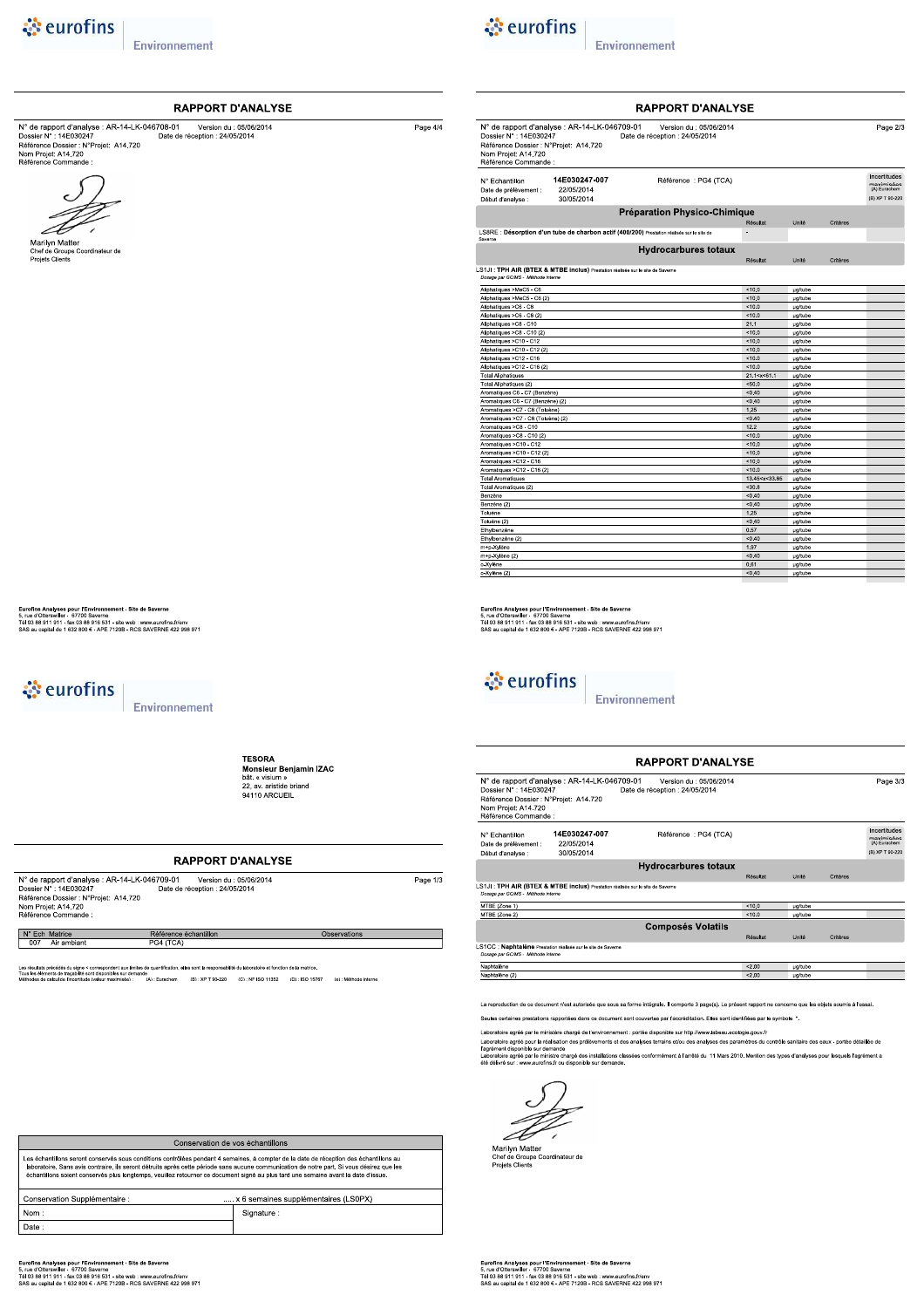

Marilyn Matter<br>Chef de Groupe Coordinateur de<br>Projets Clients

Environnement

N° de rapport d'analyse : AR-14-LK-046708-01<br>
Dossier N° : 14E030247<br>
Référence Dossier : N°Frojet: A14.720<br>
Date de réception : 24/05/2014<br>
Nom Projet: A14.720<br>
Référence Commande :

**RAPPORT D'ANALYSE** 



Page  $4/4$ 

Environnement

| N° de rapport d'analyse : AR-14-LK-046709-01<br>Dossier N° : 14E030247<br>Référence Dossier : N°Projet: A14.720<br>Nom Projet: A14.720<br>Référence Commande : | Version du : 05/06/2014<br>Date de réception : 24/05/2014 |                                                                     |         |          | Page 2/3                                                      |
|----------------------------------------------------------------------------------------------------------------------------------------------------------------|-----------------------------------------------------------|---------------------------------------------------------------------|---------|----------|---------------------------------------------------------------|
| 14E030247-007<br>N° Echantillon<br>22/05/2014<br>Date de prélèvement :<br>30/05/2014<br>Début d'analyse :                                                      | Référence : PG4 (TCA)                                     |                                                                     |         |          | Incertitudes<br>maximisées<br>(A) Eurachem<br>(B) XP T 90-220 |
|                                                                                                                                                                | <b>Préparation Physico-Chimique</b>                       |                                                                     |         |          |                                                               |
|                                                                                                                                                                |                                                           | Résultat                                                            | Unité   | Critères |                                                               |
|                                                                                                                                                                |                                                           | $\overline{\phantom{a}}$                                            |         |          |                                                               |
| LS8RE : Désorption d'un tube de charbon actif (400/200) Prestation réalisée sur le site de<br>Saverne                                                          |                                                           |                                                                     |         |          |                                                               |
|                                                                                                                                                                | <b>Hydrocarbures totaux</b>                               |                                                                     |         |          |                                                               |
|                                                                                                                                                                |                                                           | Résultat                                                            | Unité   | Critères |                                                               |
| LS1JI: TPH AIR (BTEX & MTBE inclus) Prestation réalisée sur le site de Saverne                                                                                 |                                                           |                                                                     |         |          |                                                               |
| Dosage par GC/MS - Méthode interne                                                                                                                             |                                                           |                                                                     |         |          |                                                               |
| Aliphatiques >MeC5 - C6                                                                                                                                        |                                                           | 10.0                                                                | µg/tube |          |                                                               |
| Aliphatiques >MeC5 - C6 (2)                                                                                                                                    |                                                           | 10.0                                                                | ug/tube |          |                                                               |
| Aliphatiques >C6 - C8                                                                                                                                          |                                                           | 10.0                                                                | µg/tube |          |                                                               |
| Aliphatiques >C6 - C8 (2)                                                                                                                                      |                                                           | 10.0                                                                | µg/tube |          |                                                               |
| Aliphatiques >C8 - C10                                                                                                                                         |                                                           | 21.1                                                                | µg/tube |          |                                                               |
| Aliphatiques >C8 - C10 (2)                                                                                                                                     |                                                           | 10.0                                                                | µg/tube |          |                                                               |
| Aliphatiques >C10 - C12                                                                                                                                        |                                                           | < 10.0                                                              | µg/tube |          |                                                               |
| Aliphatiques >C10 - C12 (2)                                                                                                                                    |                                                           | < 10.0                                                              | µg/tube |          |                                                               |
| Aliphatiques >C12 - C16                                                                                                                                        |                                                           | 10.0                                                                | µg/tube |          |                                                               |
| Aliphatiques >C12 - C16 (2)                                                                                                                                    |                                                           | 10.0                                                                | µg/tube |          |                                                               |
| <b>Total Aliphatiques</b>                                                                                                                                      |                                                           | 21.1 <x<61.1< td=""><td>µg/tube</td><td></td><td></td></x<61.1<>    | µg/tube |          |                                                               |
| Total Aliphatiques (2)                                                                                                                                         |                                                           | 50.0                                                                | µg/tube |          |                                                               |
| Aromatiques C6 - C7 (Benzène)                                                                                                                                  |                                                           | < 0.40                                                              | µg/tube |          |                                                               |
| Aromatiques C6 - C7 (Benzène) (2)                                                                                                                              |                                                           | < 0.40                                                              | ug/tube |          |                                                               |
| Aromatiques >C7 - C8 (Toluène)                                                                                                                                 |                                                           | 1.25                                                                | µg/tube |          |                                                               |
| Aromatiques >C7 - C8 (Toluène) (2)                                                                                                                             |                                                           | < 0.40                                                              | µg/tube |          |                                                               |
| Aromatiques >C8 - C10                                                                                                                                          |                                                           | 12.2                                                                | ua/tube |          |                                                               |
| Aromatiques >C8 - C10 (2)                                                                                                                                      |                                                           | 10.0                                                                | µg/tube |          |                                                               |
| Aromatiques >C10 - C12                                                                                                                                         |                                                           | < 10.0                                                              | µg/tube |          |                                                               |
| Aromatiques >C10 - C12 (2)                                                                                                                                     |                                                           | < 10.0                                                              | µg/tube |          |                                                               |
| Aromatiques >C12 - C16                                                                                                                                         |                                                           | 10.0                                                                | ua/tube |          |                                                               |
| Aromatiques >C12 - C16 (2)                                                                                                                                     |                                                           | 10.0                                                                | µg/tube |          |                                                               |
| <b>Total Aromatiques</b>                                                                                                                                       |                                                           | 13.45 <x<33.85< td=""><td>µg/tube</td><td></td><td></td></x<33.85<> | µg/tube |          |                                                               |
| Total Aromatiques (2)                                                                                                                                          |                                                           | $<$ 30.8                                                            | µg/tube |          |                                                               |
| Benzène                                                                                                                                                        |                                                           | < 0.40                                                              | µg/tube |          |                                                               |
| Benzène (2)                                                                                                                                                    |                                                           | < 0.40                                                              | µg/tube |          |                                                               |
| Toluène                                                                                                                                                        |                                                           | 1.25                                                                | µg/tube |          |                                                               |
| Toluène (2)                                                                                                                                                    |                                                           | < 0.40                                                              | µg/tube |          |                                                               |
| Ethylbenzène                                                                                                                                                   |                                                           | 0.57                                                                | µg/tube |          |                                                               |
| Ethylbenzène (2)                                                                                                                                               |                                                           | < 0.40                                                              | µg/tube |          |                                                               |

Eurofins Analyses pour l'Environnement - Site de Saverne<br>5, rue d'Otterswiller - 67700 Saverne<br>Tél 03 88 911 911 - fax 03 88 916 531 - site web : www.eurofins.frienv<br>SAS au capital de 1 632 800 € - APE 7120B - RCS SAVERNE

& eurofins

Environnement

|                                                                                                                |                                                                                | <b>RAPPORT D'ANALYSE</b>                                  |          |                |          |                                                               |
|----------------------------------------------------------------------------------------------------------------|--------------------------------------------------------------------------------|-----------------------------------------------------------|----------|----------------|----------|---------------------------------------------------------------|
| Dossier N° : 14E030247<br>Référence Dossier : N°Projet: A14.720<br>Nom Projet: A14.720<br>Référence Commande : | N° de rapport d'analyse : AR-14-LK-046709-01                                   | Version du : 05/06/2014<br>Date de réception : 24/05/2014 |          |                |          | Page 3/3                                                      |
| N° Echantillon<br>Date de prélèvement :<br>Début d'analyse :                                                   | 14E030247-007<br>22/05/2014<br>30/05/2014                                      | Référence: PG4 (TCA)                                      |          |                |          | Incertitudes<br>maximisées<br>(A) Eurachem<br>(B) XP T 90-220 |
|                                                                                                                |                                                                                | <b>Hydrocarbures totaux</b>                               |          |                |          |                                                               |
|                                                                                                                |                                                                                |                                                           | Résultat | Unité          | Critères |                                                               |
| Dosage par GC/MS - Méthode interne                                                                             | .S1JI: TPH AIR (BTEX & MTBE inclus) Prestation réalisée sur le site de Saverne |                                                           |          |                |          |                                                               |
| MTBE (Zone 1)                                                                                                  |                                                                                |                                                           | < 100    | <b>µg/tube</b> |          |                                                               |
| MTBE (Zone 2)                                                                                                  |                                                                                |                                                           | < 10.0   | ua/tube        |          |                                                               |
|                                                                                                                |                                                                                | <b>Composés Volatils</b>                                  |          |                |          |                                                               |
|                                                                                                                |                                                                                |                                                           | Résultat | Unité          | Critères |                                                               |
| Dosage par GC/MS - Méthode interne                                                                             | .S1CC : Naphtalène Prestation réalisée sur le site de Saverne                  |                                                           |          |                |          |                                                               |
| Naphtalène                                                                                                     |                                                                                |                                                           | < 2.00   | <b>µg/tube</b> |          |                                                               |
| Naphtalène (2)                                                                                                 |                                                                                |                                                           | 2.00     | µg/tube        |          |                                                               |
|                                                                                                                |                                                                                |                                                           |          |                |          |                                                               |

La reproduction de ce document n'est autorisée que sous sa forme intégrale. Il comporte 3 page(s). Le présent rapport ne concerne que les objets soumis à l'essai

Seules certaines prestations rapportées dans ce document sont couvertes par l'accréditation. Elles sont identifiées par le symbole 4.

Laboratoire agréé par le ministère chargé de l'environnement : portée disponible sur http://www.labeau.ecologie.gouv.fr<br>Laboratoire agrée pour la réalisation des prélèvements et des analyses terrains et/ou des nauyses des

Æ  $\overline{\phantom{a}}$ 

Marilyn Matter<br>Chef de Groupe Coordinateur de<br>Projets Clients

Eurofins Analyses pour l'Environnement - Site de Saverne<br>5, rue d'Otterswiller - 67700 Saverne<br>Tél 03 88 911 911 - fax 03 88 916 531 - site web : www.eurofins.frienv<br>SAS au capital de 1 632 800 € - APE 7120B - RCS SAVERNE

Conservation de vos échantillons Les échantillons seront conservés sous conditions contrôlées pendant 4 semaines, à compter de la date de réception des échantillons au<br>laboratoire. Sans avis contraire, ils seront détruits après celte période sans aucune c Conservation Supplémentaire : x 6 semaines supplémentaires (LS0PX) Signature :

Eurofins Analyses pour l'Environnement - Site de Saverne<br>5, rue d'Otterswiller - 67700 Saverne<br>Tél 03 88 911 911 - fax 03 88 916 531 - site web : www.eurofins.frienv<br>SAS au capital de 1 632 800 € - APE 7120B - RCS SAVERNE

 $\overline{\mathsf{Nom}}$ 

Date

े eurofins

Eurofins Analyses pour l'Environnement - Site de Saverne<br>5, rue d'Otterswiller - 67770 Saverne<br>Tél 03 88 911 911 - fax 03 88 916 531 - site web : www.eurofins.fr/env<br>SAS au capital de 1 632 800 € - APE 7120B - RCS SAVERNE

Environnement

**TESORA HESORA<br>Monsieur Benjamin IZAC**<br>bât. « visium »<br>22, av. aristide briand<br>94110 ARCUEIL

### **RAPPORT D'ANALYSE**

| N° de rapport d'analyse : AR-14-LK-046709-01<br>Dossier N°: 14E030247<br>Référence Dossier : N°Projet: A14.720<br>Nom Projet: A14.720<br>Référence Commande : | Version du : 05/06/2014<br>Date de réception : 24/05/2014 | Page 1/3     |
|---------------------------------------------------------------------------------------------------------------------------------------------------------------|-----------------------------------------------------------|--------------|
| N° Ech Matrice                                                                                                                                                | Référence échantillon                                     | Observations |
| Air ambiant<br>007                                                                                                                                            | PG4 (TCA)                                                 |              |

#### 007 Air ambiant

a précédes du signe «correspondent aux limites de quantification, elles sont la responsabilité du laboratoire et fonction de la matrice.<br>mente de traçactes sont dependies ex demands<br>e célud de finoembre (valeur matemaie) :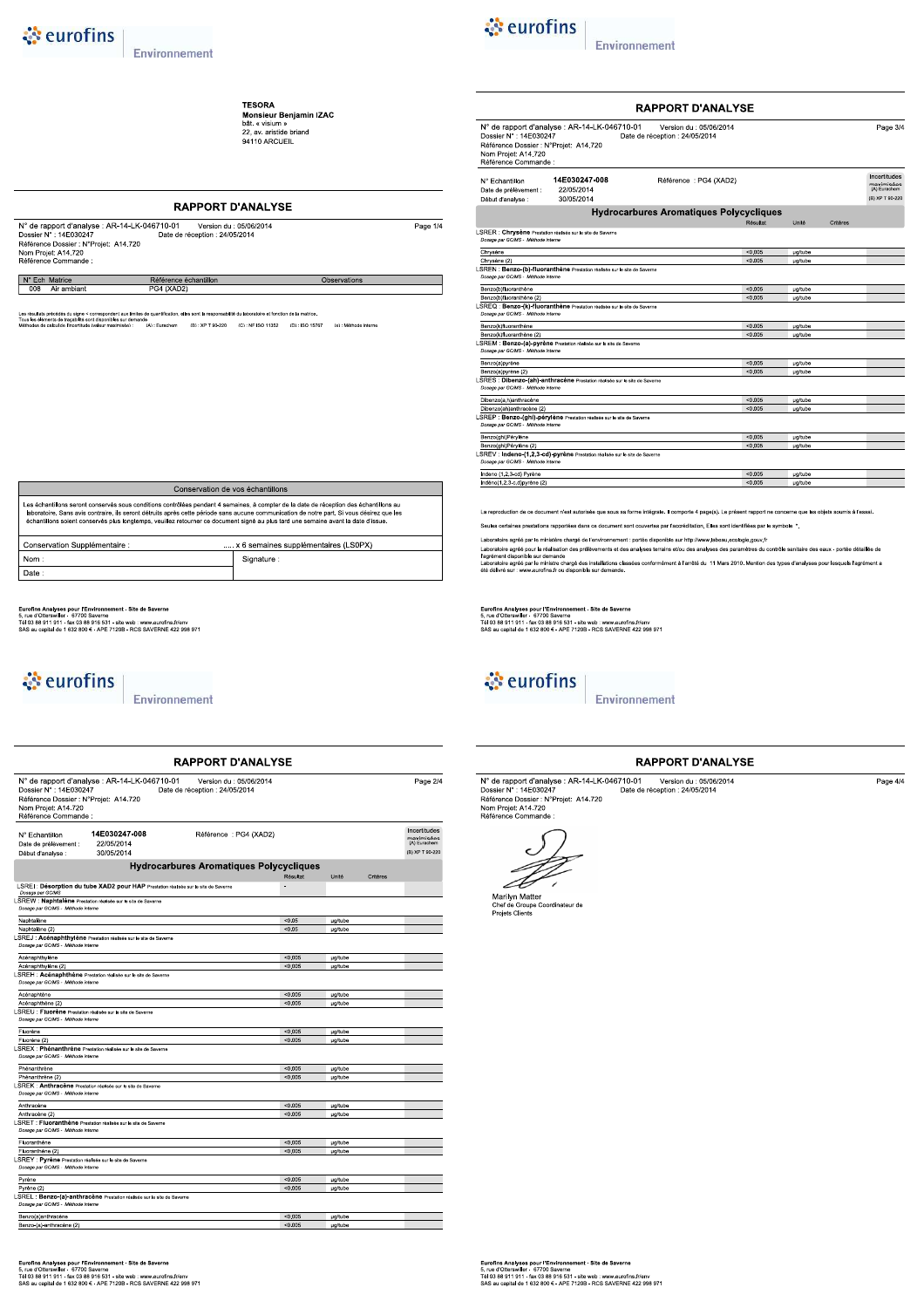**TESORA**<br>**Monsieur Benjamin IZAC**<br>bât. « visium »<br>22, av. aristide briand<br>94110 ARCUEIL

### **RAPPORT D'ANALYSE** N° de rapport d'analyse : AR-14-LK-046710-01 Version du : 05/06/2014<br>Dossier N° : 14E030247 Date de réception : 24/05/2014<br>Référence Dossier : N°Projet: A14.720<br>Nom Projet: A14.720<br>Référence Commande : Page  $1/4$ N° Ech Matrice Référence échantillon Observations Air ambiant  $4(XAD2)$ ification, elles sont la responsabilité du laboratoire et fonction de la matrice

de<br>(A):Eurachem (B):XP T 90-220 (C):NF ISO 11352 (D):ISO 15767 (e):Méthode interne

| Conservation de vos échantillons                                                                                                                                                                                                                                                                                                                                                                                           |  |  |  |  |  |
|----------------------------------------------------------------------------------------------------------------------------------------------------------------------------------------------------------------------------------------------------------------------------------------------------------------------------------------------------------------------------------------------------------------------------|--|--|--|--|--|
| Les échantillons seront conservés sous conditions contrôlées pendant 4 semaines, à compter de la date de réception des échantillons au<br>laboratoire. Sans avis contraire, ils seront détruits après cette période sans aucune communication de notre part. Si vous désirez que les<br>échantillons soient conservés plus longtemps, veuillez retourner ce document signé au plus tard une semaine avant la date d'issue. |  |  |  |  |  |
| x 6 semaines supplémentaires (LS0PX)<br>Conservation Supplémentaire :                                                                                                                                                                                                                                                                                                                                                      |  |  |  |  |  |
| Nom:<br>Signature:                                                                                                                                                                                                                                                                                                                                                                                                         |  |  |  |  |  |
| Date:                                                                                                                                                                                                                                                                                                                                                                                                                      |  |  |  |  |  |

Eurofins Analyses pour l'Environnement - Site de Saverne<br>5, rue d'Otterswiller - 67770 Saverne<br>Tél 03 88 911 911 - fax 03 88 916 531 - site web : www.eurofins.fr/env<br>SAS au capital de 1 632 800 € - APE 7120B - RCS SAVERNE

## & eurofins

Environnement

|                                                                                                               |                                                                                    | <b>RAPPORT D'ANALYSE</b>                                  |          |                |          |                                            |
|---------------------------------------------------------------------------------------------------------------|------------------------------------------------------------------------------------|-----------------------------------------------------------|----------|----------------|----------|--------------------------------------------|
| Dossier N°: 14E030247<br>Référence Dossier : N°Projet: A14.720<br>Nom Projet: A14.720<br>Référence Commande : | N° de rapport d'analyse : AR-14-LK-046710-01                                       | Version du : 05/06/2014<br>Date de réception : 24/05/2014 |          |                |          | Page 2/4                                   |
| N° Echantillon<br>Date de prélèvement :                                                                       | 14E030247-008<br>22/05/2014                                                        | Référence: PG4 (XAD2)                                     |          |                |          | Incertitudes<br>maximisées<br>(A) Eurachem |
| Début d'analyse :                                                                                             | 30/05/2014                                                                         |                                                           |          |                |          | (B) XP T 90-220                            |
|                                                                                                               |                                                                                    | <b>Hydrocarbures Aromatiques Polycycliques</b>            |          |                |          |                                            |
|                                                                                                               |                                                                                    |                                                           | Résultat | Unité          | Critères |                                            |
| Dosage par GC/MS                                                                                              | LSREI: Désorption du tube XAD2 pour HAP Prestation réalisée sur le site de Saverne |                                                           | ٠        |                |          |                                            |
| Dosage par GC/MS - Méthode interne                                                                            | SREW : Naphtalène Prestation réalisée sur le site de Saverne                       |                                                           |          |                |          |                                            |
| Naphtalène                                                                                                    |                                                                                    |                                                           | < 0.05   | µg/tube        |          |                                            |
| Naphtalène (2)                                                                                                |                                                                                    |                                                           | < 0.05   | µg/tube        |          |                                            |
| Dosage par GC/MS - Méthode interne                                                                            | SREJ : Acénaphthylène Prestation réalisée sur le site de Saverne                   |                                                           |          |                |          |                                            |
| Acénaphthylène                                                                                                |                                                                                    |                                                           | < 0.005  | <b>µg/tube</b> |          |                                            |
| Acénaphthylène (2)                                                                                            |                                                                                    |                                                           | < 0.005  | <b>µg/tube</b> |          |                                            |
|                                                                                                               | SREH : Acénaphthène Prestation réalisée sur le site de Saverne                     |                                                           |          |                |          |                                            |
| Dosage par GC/MS - Méthode interne                                                                            |                                                                                    |                                                           |          |                |          |                                            |
| Acénaphtène                                                                                                   |                                                                                    |                                                           | < 0.005  | µg/tube        |          |                                            |
| Acénaphthène (2)                                                                                              |                                                                                    |                                                           | < 0.005  | µg/tube        |          |                                            |
| SREU : Fluorène Prestation réalisée sur le site de Saverne<br>Dosage par GC/MS - Méthode interne              |                                                                                    |                                                           |          |                |          |                                            |
| Fluorène                                                                                                      |                                                                                    |                                                           | < 0.005  | µg/tube        |          |                                            |
| Fluorène (2)                                                                                                  |                                                                                    |                                                           | < 0.005  | ug/tube        |          |                                            |
| Dosage par GC/MS - Méthode interne                                                                            | SREX : Phénanthrène Prestation réalisée sur le site de Saverne                     |                                                           |          |                |          |                                            |
| Phénanthrène                                                                                                  |                                                                                    |                                                           | < 0.005  | <b>µg/tube</b> |          |                                            |
| Phénanthrène (2)                                                                                              |                                                                                    |                                                           | < 0.005  | µg/tube        |          |                                            |
| Dosage par GC/MS - Méthode interne                                                                            | SREK : Anthracène Prestation réalisée sur le site de Saverne                       |                                                           |          |                |          |                                            |
| Anthracène                                                                                                    |                                                                                    |                                                           | < 0.005  | <b>µg/tube</b> |          |                                            |
| Anthracène (2)                                                                                                |                                                                                    |                                                           | < 0.005  | <b>ug/tube</b> |          |                                            |
| Dosage par GC/MS - Méthode interne                                                                            | SRET : Fluoranthène Prestation réalisée sur le site de Saverne                     |                                                           |          |                |          |                                            |
| Fluoranthène                                                                                                  |                                                                                    |                                                           | < 0.005  | <b>ug/tube</b> |          |                                            |
| Fluoranthène (2)                                                                                              |                                                                                    |                                                           | < 0.005  | µg/tube        |          |                                            |
| SREY : Pyrène Prestation réalisée sur le site de Saverne<br>Dosage par GC/MS - Méthode interne                |                                                                                    |                                                           |          |                |          |                                            |
| Pyrène                                                                                                        |                                                                                    |                                                           | < 0.005  | µg/tube        |          |                                            |
| Pyrène (2)                                                                                                    |                                                                                    |                                                           | < 0.005  | <b>µg/tube</b> |          |                                            |
| Dosage par GC/MS - Méthode interne                                                                            | SREL : Benzo-(a)-anthracène Prestation réalisée sur le site de Saverne             |                                                           |          |                |          |                                            |
| Benzo(a)anthracène                                                                                            |                                                                                    |                                                           | < 0.005  | µg/tube        |          |                                            |
| Benzo-(a)-anthracène (2)                                                                                      |                                                                                    |                                                           | < 0.005  | µg/tube        |          |                                            |
|                                                                                                               |                                                                                    |                                                           |          |                |          |                                            |

Eurofins Analyses pour l'Environnement - Site de Saverne<br>5, rue d'Otterswiller - 67700 Saverne<br>Tél 03 88 911 911 - fax 03 88 916 531 - site web : www.eurofins.frienv<br>SAS au capital de 1 632 800 € - APE 7120B - RCS SAVERNE



Environnement

|                                                                                                                |                                                                            | <b>RAPPORT D'ANALYSE</b>                                  |          |                |          |                                                               |
|----------------------------------------------------------------------------------------------------------------|----------------------------------------------------------------------------|-----------------------------------------------------------|----------|----------------|----------|---------------------------------------------------------------|
| Dossier N° : 14E030247<br>Référence Dossier : N°Proiet: A14.720<br>Nom Projet: A14.720<br>Référence Commande : | N° de rapport d'analyse : AR-14-LK-046710-01                               | Version du : 05/06/2014<br>Date de réception : 24/05/2014 |          |                |          | Page 3/4                                                      |
| N° Echantillon<br>Date de prélèvement :<br>Début d'analyse :                                                   | 14E030247-008<br>22/05/2014<br>30/05/2014                                  | Référence : PG4 (XAD2)                                    |          |                |          | Incertitudes<br>maximisées<br>(A) Eurachem<br>(B) XP T 90-220 |
|                                                                                                                |                                                                            | <b>Hydrocarbures Aromatiques Polycycliques</b>            |          |                |          |                                                               |
|                                                                                                                |                                                                            |                                                           | Résultat | Unité          | Critères |                                                               |
| LSRER : Chrysène Prestation réalisée sur le site de Saverne<br>Dosage par GC/MS - Méthode interne              |                                                                            |                                                           |          |                |          |                                                               |
| Chrysène                                                                                                       |                                                                            |                                                           | < 0.005  | µg/tube        |          |                                                               |
| Chrysène (2)                                                                                                   |                                                                            |                                                           | < 0.005  | µg/tube        |          |                                                               |
| Dosage par GC/MS - Méthode interne                                                                             | SREN : Benzo-(b)-fluoranthêne Prestation réalisée sur le site de Saverne   |                                                           |          |                |          |                                                               |
| Benzo(b)fluoranthène                                                                                           |                                                                            |                                                           | < 0.005  | µg/tube        |          |                                                               |
| Benzo(b)fluoranthène (2)                                                                                       |                                                                            |                                                           | < 0.005  | µg/tube        |          |                                                               |
| Dosage par GC/MS - Méthode interne                                                                             | SREQ : Benzo-(k)-fluoranthène Prestation réalisée sur le site de Saverne   |                                                           |          |                |          |                                                               |
| Benzo(k)fluoranthène                                                                                           |                                                                            |                                                           | < 0.005  | µg/tube        |          |                                                               |
| Benzo(k)fluoranthène (2)                                                                                       |                                                                            |                                                           | < 0.005  | µg/tube        |          |                                                               |
| Dosage par GC/MS - Méthode interne                                                                             | LSREM : Benzo-(a)-pyrène Prestation réalisée sur le site de Saverne        |                                                           |          |                |          |                                                               |
| Benzo(a)pyrène                                                                                                 |                                                                            |                                                           | < 0.005  | µg/tube        |          |                                                               |
| Benzo(a)pyrène (2)                                                                                             |                                                                            |                                                           | < 0.005  | <b>ua/tube</b> |          |                                                               |
| Dosage par GC/MS - Méthode interne                                                                             | SRES : Dibenzo-(ah)-anthracène Prestation réalisée sur le site de Saverne  |                                                           |          |                |          |                                                               |
| Dibenzo(a,h)anthracène                                                                                         |                                                                            |                                                           | < 0.005  | µg/tube        |          |                                                               |
| Dibenzo(ah)anthracène (2)                                                                                      |                                                                            |                                                           | < 0.005  | µg/tube        |          |                                                               |
| Dosage par GC/MS - Méthode interne                                                                             | SREP : Benzo-(ghi)-pérylène Prestation réalisée sur le site de Saverne     |                                                           |          |                |          |                                                               |
| Benzo(ghi)Pérylène                                                                                             |                                                                            |                                                           | < 0.005  | µg/tube        |          |                                                               |
| Benzo(ghi)Pérylène (2)                                                                                         |                                                                            |                                                           | < 0.005  | ua/tube        |          |                                                               |
| Dosage par GC/MS - Méthode interne                                                                             | SREV : Indeno-(1.2.3-cd)-pyrène Prestation réalisée sur le site de Saverne |                                                           |          |                |          |                                                               |
| Indeno (1,2,3-cd) Pyrène                                                                                       |                                                                            |                                                           | < 0.005  | <b>µg/tube</b> |          |                                                               |
| Indéno(1,2,3-c,d)pyrène (2)                                                                                    |                                                                            |                                                           | < 0.005  | µg/tube        |          |                                                               |

La reproduction de ce document n'est autorisée que sous sa forme intégrale. Il comporte 4 page(s). Le présent rapport ne concerne que les objets soumis à l'essai Seules certaines prestations rapportées dans ce document sont couvertes par l'accréditation. Elles sont identifiées par le symbole \*

Laboratoire agréé par le ministère chargé de l'environnement : portée disponible sur http://www.labeau.ecologie.gouv.fr<br>Laboratoire agrée pour la réalisation des prélèvements et des analyses terrains et/ou des analyses des

Eurofins Analyses pour l'Environnement - Site de Saverne<br>5, rue d'Otterswiller - 67700 Saverne<br>Tél 03 88 911 911 - fax 03 88 916 531 - site web : www.eurofins.frienv<br>SAS au capital de 1 632 800 € - APE 7120B - RCS SAVERNE



Environnement

### **RAPPORT D'ANALYSE**

| N° de rapport d'analyse : AR-14-LK-046710-01 | Version du : 05/06/2014        | Page 4/4 |
|----------------------------------------------|--------------------------------|----------|
| Dossier N° : 14E030247                       | Date de réception : 24/05/2014 |          |
| Référence Dossier : N°Projet: A14.720        |                                |          |
| Nom Projet: A14.720                          |                                |          |
| Référence Commande :                         |                                |          |



Marilyn Matter<br>Chef de Groupe Coordinateur de<br>Projets Clients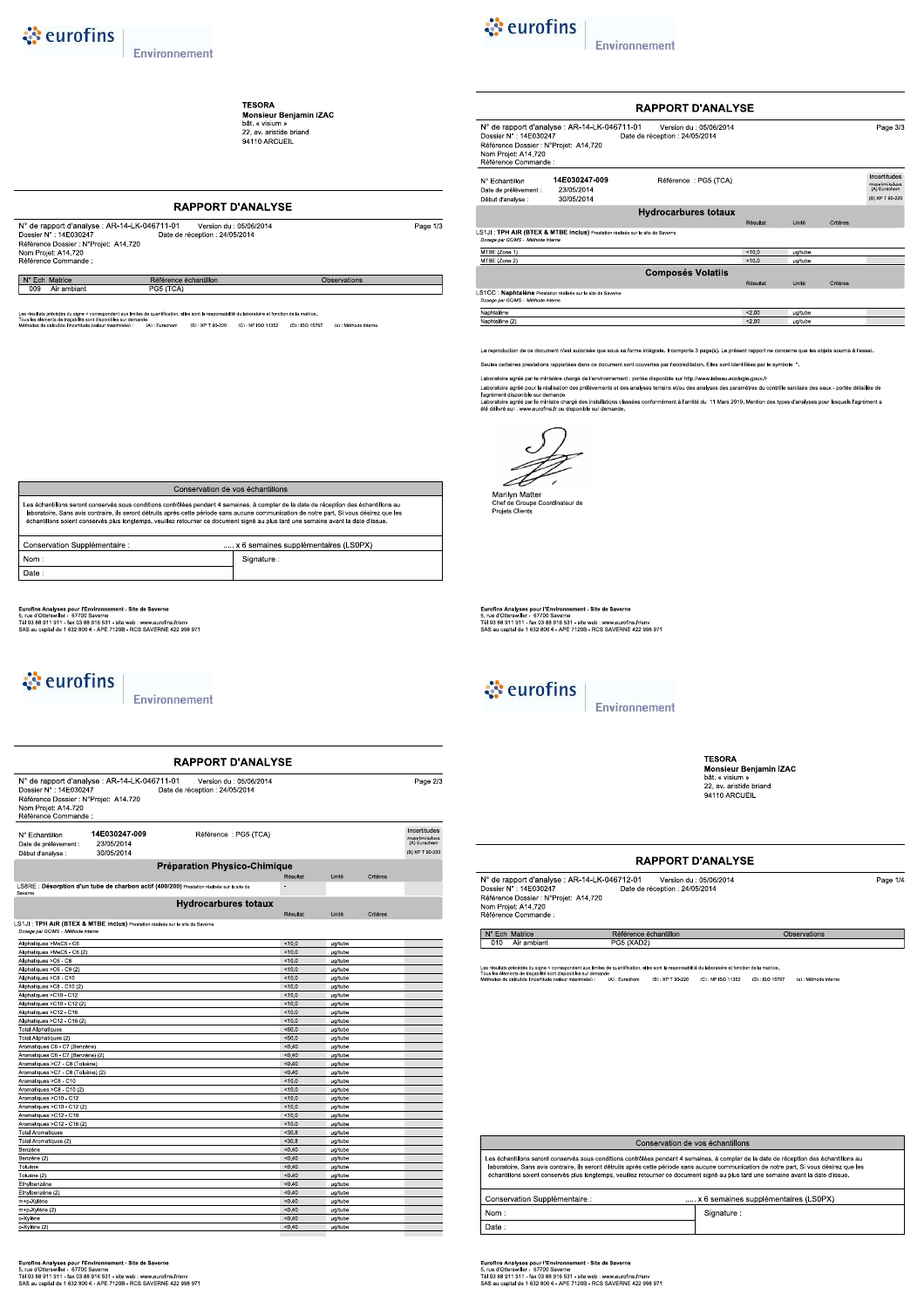**TESORA**<br>**Monsieur Benjamin IZAC**<br>bât. « visium »<br>22, av. aristide briand<br>94110 ARCUEIL

### **RAPPORT D'ANALYSE**

| N° de rapport d'analyse : AR-14-LK-046711-01 | Version du : 05/06/2014        | Page         |
|----------------------------------------------|--------------------------------|--------------|
| Dossier N° : 14E030247                       | Date de réception : 24/05/2014 |              |
| Référence Dossier : N°Projet: A14.720        |                                |              |
| Nom Projet: A14.720                          |                                |              |
| Référence Commande :                         |                                |              |
|                                              |                                |              |
| N° Ech Matrice                               | Référence échantillon          | Observations |

ch Matrice

.<br>ation, elles sont la responsabilité du laboratoire et fonction de la matric précédés du signe < correspondent aux limites de<br>ients de traçabilité sont disponibles sur demande<br>calcul de l'incertitude (valeur maximisée) de<br>(A):Eurachem (B):XP T 90-220 (C):NF ISO 11352 (D):ISO 15767 (e):Méthode interne



 $\overline{1/3}$ 

Environnement

|                                                                                                                |                                                                                | <b>RAPPORT D'ANALYSE</b>                                  |          |         |          |                                                               |
|----------------------------------------------------------------------------------------------------------------|--------------------------------------------------------------------------------|-----------------------------------------------------------|----------|---------|----------|---------------------------------------------------------------|
| Dossier N° : 14E030247<br>Référence Dossier : N°Projet: A14.720<br>Nom Projet: A14.720<br>Référence Commande : | N° de rapport d'analyse : AR-14-LK-046711-01                                   | Version du : 05/06/2014<br>Date de réception : 24/05/2014 |          |         |          | Page 3/3                                                      |
| N° Echantillon<br>Date de prélèvement :<br>Début d'analyse :                                                   | 14E030247-009<br>23/05/2014<br>30/05/2014                                      | Référence: PG5 (TCA)                                      |          |         |          | Incertitudes<br>maximisées<br>(A) Eurachem<br>(B) XP T 90-220 |
|                                                                                                                |                                                                                | <b>Hydrocarbures totaux</b>                               |          |         |          |                                                               |
|                                                                                                                |                                                                                |                                                           | Résultat | Unité   | Critères |                                                               |
| Dosage par GC/MS - Méthode Interne<br>MTBE (Zone 1)                                                            | LS1JI: TPH AIR (BTEX & MTBE inclus) Prestation réalisée sur le site de Saverne |                                                           | < 100    | µg/tube |          |                                                               |
| MTBE (Zone 2)                                                                                                  |                                                                                |                                                           | < 10.0   | ua/tube |          |                                                               |
|                                                                                                                |                                                                                | <b>Composés Volatils</b>                                  |          |         |          |                                                               |
|                                                                                                                |                                                                                |                                                           | Résultat | Unité   | Critères |                                                               |
| Dosage par GC/MS - Méthode interne                                                                             | LS1CC : Naphtalène Prestation réalisée sur le site de Saverne                  |                                                           |          |         |          |                                                               |
| Naphtalène                                                                                                     |                                                                                |                                                           | < 200    | ua/tube |          |                                                               |
| Naphtalène (2)                                                                                                 |                                                                                |                                                           | < 2.00   | µg/tube |          |                                                               |

La reproduction de ce document n'est autorisée que sous sa forme intégrale. Il comporte 3 page(s). Le présent rapport ne concerne que les objets soumis à l'essai

Seules certaines prestations rapportées dans ce document sont couvertes par l'accréditation. Elles sont identifiées par le symbole \*.

Laboratoire agréé par le ministère chargé de l'environnement : portée disponible sur http://www.labeau.ecologie.gouv.fr<br>Laboratoire agrée pour la réalisation des prélèvements et des analyses terrains et/ou des analyses des

Marilyn Matter<br>Chef de Groupe Coordinateur de<br>Projets Clients

Eurofins Analyses pour l'Environnement - Site de Saverne<br>5, rue d'Otterswiller - 67700 Saverne<br>Tél 03 88 911 911 - fax 03 88 916 531 - site web : www.eurofins.frienv<br>SAS au capital de 1 632 800 € - APE 7120B - RCS SAVERNE



 $0.000$ 

Environnement

**TESORA**<br>Monsieur Benjamin IZAC<br>bât. « visium »<br>22, av. aristide briand<br>94110 ARCUEIL

Observations

Page 1/4

### **RAPPORT D'ANALYSE**

| N° de rapport d'analyse : AR-14-LK-046712-01 | Version du : 05/06/2014        |
|----------------------------------------------|--------------------------------|
| Dossier N° : 14F030247                       | Date de réception : 24/05/2014 |
| Référence Dossier : N°Projet: A14.720        |                                |
| Nom Projet: A14.720                          |                                |
| Référence Commande :                         |                                |

N° Ech Matrice<br>010 Air ambiant

Les résultats précédés du signe < correspondent aux limites de<br>Tous les éléments de traçabilité sont disponibles sur demande<br>Méthodes de calcul de l'incertitude (valeur maximisée) : 5e<br>(A):Eurachem (B):XP T 90-220 (C):NF ISO 11352 (D):ISO 15767 (e):Méthode interne

Référence échantillon<br>PG5 (XAD2)

| Conservation de vos échantillons                                                                                                                                                                                                                                                                                                                                                                                           |                                      |  |  |  |  |
|----------------------------------------------------------------------------------------------------------------------------------------------------------------------------------------------------------------------------------------------------------------------------------------------------------------------------------------------------------------------------------------------------------------------------|--------------------------------------|--|--|--|--|
| Les échantillons seront conservés sous conditions contrôlées pendant 4 semaines, à compter de la date de réception des échantillons au<br>laboratoire. Sans avis contraire, ils seront détruits après cette période sans aucune communication de notre part. Si vous désirez que les<br>échantillons soient conservés plus longtemps, veuillez retourner ce document signé au plus tard une semaine avant la date d'issue. |                                      |  |  |  |  |
| Conservation Supplémentaire :                                                                                                                                                                                                                                                                                                                                                                                              | x 6 semaines supplémentaires (LS0PX) |  |  |  |  |
| Nom:<br>Signature:                                                                                                                                                                                                                                                                                                                                                                                                         |                                      |  |  |  |  |
| Date:                                                                                                                                                                                                                                                                                                                                                                                                                      |                                      |  |  |  |  |

Eurofins Analyses pour l'Environnement - Site de Saverne<br>5, rue d'Otterswiller - 67700 Saverne<br>Tél 03 88 911 911 - fax 03 88 916 531 - site web : www.eurofins.frienv<br>SAS au capital de 1 632 800 € - APE 7120B - RCS SAVERNE

Eurofins Analyses pour l'Environnement - Site de Saverne<br>5, rue d'Otterswiller - 67700 Saverne<br>Tél 03 88 911 911 - fax 03 88 916 531 - site web : www.eurofins.frienv<br>SAS au capital de 1 632 800 € - APE 7120B - RCS SAVERNE

| Conservation de vos échantillons                                                                                                                                                                                                                                                                                                                                                                                           |            |  |  |  |  |  |  |
|----------------------------------------------------------------------------------------------------------------------------------------------------------------------------------------------------------------------------------------------------------------------------------------------------------------------------------------------------------------------------------------------------------------------------|------------|--|--|--|--|--|--|
| Les échantillons seront conservés sous conditions contrôlées pendant 4 semaines, à compter de la date de réception des échantillons au<br>laboratoire. Sans avis contraire, ils seront détruits après cette période sans aucune communication de notre part. Si vous désirez que les<br>échantillons soient conservés plus longtemps, veuillez retourner ce document signé au plus tard une semaine avant la date d'issue. |            |  |  |  |  |  |  |
| Conservation Supplémentaire :<br>x 6 semaines supplémentaires (LS0PX)                                                                                                                                                                                                                                                                                                                                                      |            |  |  |  |  |  |  |
| Nom:                                                                                                                                                                                                                                                                                                                                                                                                                       | Signature: |  |  |  |  |  |  |
| Date:                                                                                                                                                                                                                                                                                                                                                                                                                      |            |  |  |  |  |  |  |
|                                                                                                                                                                                                                                                                                                                                                                                                                            |            |  |  |  |  |  |  |

**RAPPORT D'ANALYSE** 

Nº de connect d'onation : AD 44 LIZ 042744 02

Eurofins Analyses pour l'Environnement - Site de Saverne<br>5, rue d'Otterswiller - 67770 Saverne<br>Tél 03 88 911 911 - fax 03 88 916 531 - site web : www.eurofins.fr/env<br>SAS au capital de 1 632 800 € - APE 7120B - RCS SAVERNE

## े eurofins

Environnement

| Dossier N° : 14E030247<br>Référence Dossier : N°Projet: A14.720<br>Nom Projet: A14.720<br>Référence Commande : |                                                                                            | $\sim$ 0.000 $\sim$ 0.000 $\sim$ 0.000 $\sim$ 0.000 $\sim$ 0.000 $\sim$ 0.000 $\sim$ 0.000 $\sim$ 0.000 $\sim$ 0.000 $\sim$ 0.000 $\sim$ 0.000 $\sim$ 0.000 $\sim$ 0.000 $\sim$ 0.000 $\sim$ 0.000 $\sim$ 0.000 $\sim$ 0.000 $\sim$ 0.000 $\sim$ 0.000 $\sim$ 0.000<br>Date de réception : 24/05/2014 |                  |                |          | raye zio                                                      |
|----------------------------------------------------------------------------------------------------------------|--------------------------------------------------------------------------------------------|-------------------------------------------------------------------------------------------------------------------------------------------------------------------------------------------------------------------------------------------------------------------------------------------------------|------------------|----------------|----------|---------------------------------------------------------------|
| N° Echantillon<br>Date de prélèvement :<br>Début d'analyse :                                                   | 14E030247-009<br>23/05/2014<br>30/05/2014                                                  | Référence : PG5 (TCA)                                                                                                                                                                                                                                                                                 |                  |                |          | Incertitudes<br>maximisées<br>(A) Eurachem<br>(B) XP T 90-220 |
|                                                                                                                |                                                                                            | Préparation Physico-Chimique                                                                                                                                                                                                                                                                          |                  |                |          |                                                               |
|                                                                                                                |                                                                                            |                                                                                                                                                                                                                                                                                                       | Résultat         | Unité          | Critères |                                                               |
| Saverne                                                                                                        | LS8RE : Désorption d'un tube de charbon actif (400/200) Prestation réalisée sur le site de |                                                                                                                                                                                                                                                                                                       |                  |                |          |                                                               |
|                                                                                                                |                                                                                            | <b>Hydrocarbures totaux</b>                                                                                                                                                                                                                                                                           |                  |                |          |                                                               |
|                                                                                                                |                                                                                            |                                                                                                                                                                                                                                                                                                       | Résultat         | Unité          | Critères |                                                               |
| Dosage par GC/MS - Méthode interne<br>Aliphatiques >MeC5 - C6                                                  | LS1JI : TPH AIR (BTEX & MTBE inclus) Prestation réalisée sur le site de Saverne            |                                                                                                                                                                                                                                                                                                       | 10.0             | <b>µg/tube</b> |          |                                                               |
| Aliphatiques >MeC5 - C6 (2)                                                                                    |                                                                                            |                                                                                                                                                                                                                                                                                                       | 10.0             | <b>ug/tube</b> |          |                                                               |
| Aliphatiques >C6 - C8                                                                                          |                                                                                            |                                                                                                                                                                                                                                                                                                       | 10.0             | <b>µg/tube</b> |          |                                                               |
| Aliphatiques >C6 - C8 (2)                                                                                      |                                                                                            |                                                                                                                                                                                                                                                                                                       | < 10.0           | <b>ug/tube</b> |          |                                                               |
| Aliphatiques >C8 - C10                                                                                         |                                                                                            |                                                                                                                                                                                                                                                                                                       | 10.0             | <b>µg/tube</b> |          |                                                               |
| Aliphatiques >C8 - C10 (2)                                                                                     |                                                                                            |                                                                                                                                                                                                                                                                                                       | 10.0             | <b>µg/tube</b> |          |                                                               |
| Aliphatiques >C10 - C12                                                                                        |                                                                                            |                                                                                                                                                                                                                                                                                                       | 10.0             | <b>µg/tube</b> |          |                                                               |
| Aliphatiques >C10 - C12 (2)                                                                                    |                                                                                            |                                                                                                                                                                                                                                                                                                       | < 10.0           | ua/tube        |          |                                                               |
| Aliphatiques >C12 - C16                                                                                        |                                                                                            |                                                                                                                                                                                                                                                                                                       | 10.0             | ug/tube        |          |                                                               |
| Aliphatiques >C12 - C16 (2)                                                                                    |                                                                                            |                                                                                                                                                                                                                                                                                                       | 10.0             | <b>ug/tube</b> |          |                                                               |
| <b>Total Aliphatiques</b>                                                                                      |                                                                                            |                                                                                                                                                                                                                                                                                                       | < 50.0           | <b>ug/tube</b> |          |                                                               |
| Total Aliphatiques (2)                                                                                         |                                                                                            |                                                                                                                                                                                                                                                                                                       | < 50.0           | <b>µg/tube</b> |          |                                                               |
| Aromatiques C6 - C7 (Benzène)                                                                                  |                                                                                            |                                                                                                                                                                                                                                                                                                       | < 0.40           | <b>µg/tube</b> |          |                                                               |
| Aromatiques C6 - C7 (Benzène) (2)                                                                              |                                                                                            |                                                                                                                                                                                                                                                                                                       | < 0.40           | <b>ug/tube</b> |          |                                                               |
| Aromatiques >C7 - C8 (Toluène)                                                                                 |                                                                                            |                                                                                                                                                                                                                                                                                                       | < 0.40           | <b>ug/tube</b> |          |                                                               |
| Aromatiques >C7 - C8 (Toluène) (2)                                                                             |                                                                                            |                                                                                                                                                                                                                                                                                                       | < 0.40           | <b>µg/tube</b> |          |                                                               |
| Aromatiques >C8 - C10                                                                                          |                                                                                            |                                                                                                                                                                                                                                                                                                       | 10.0             | ug/tube        |          |                                                               |
| Aromatiques >C8 - C10 (2)                                                                                      |                                                                                            |                                                                                                                                                                                                                                                                                                       | 10.0             | <b>ug/tube</b> |          |                                                               |
| Aromatiques >C10 - C12                                                                                         |                                                                                            |                                                                                                                                                                                                                                                                                                       | 10.0             | <b>ug/tube</b> |          |                                                               |
| Aromatiques >C10 - C12 (2)                                                                                     |                                                                                            |                                                                                                                                                                                                                                                                                                       | < 10.0           | <b>µg/tube</b> |          |                                                               |
| Aromatiques >C12 - C16                                                                                         |                                                                                            |                                                                                                                                                                                                                                                                                                       | 10.0             | <b>µg/tube</b> |          |                                                               |
| Aromatiques >C12 - C16 (2)                                                                                     |                                                                                            |                                                                                                                                                                                                                                                                                                       | 10.0             | <b>ug/tube</b> |          |                                                               |
| <b>Total Aromatiques</b>                                                                                       |                                                                                            |                                                                                                                                                                                                                                                                                                       | < 30.8           | <b>ug/tube</b> |          |                                                               |
| Total Aromatiques (2)<br>Benzène                                                                               |                                                                                            |                                                                                                                                                                                                                                                                                                       | $30.8$<br>< 0.40 | <b>µg/tube</b> |          |                                                               |
|                                                                                                                |                                                                                            |                                                                                                                                                                                                                                                                                                       | < 0.40           | <b>µg/tube</b> |          |                                                               |
| Benzène (2)<br>Toluène                                                                                         |                                                                                            |                                                                                                                                                                                                                                                                                                       | < 0.40           | <b>ug/tube</b> |          |                                                               |
|                                                                                                                |                                                                                            |                                                                                                                                                                                                                                                                                                       | < 0.40           | <b>ug/tube</b> |          |                                                               |
| Toluène (2)                                                                                                    |                                                                                            |                                                                                                                                                                                                                                                                                                       | $-0.16$          | <b>µg/tube</b> |          |                                                               |

ug/tub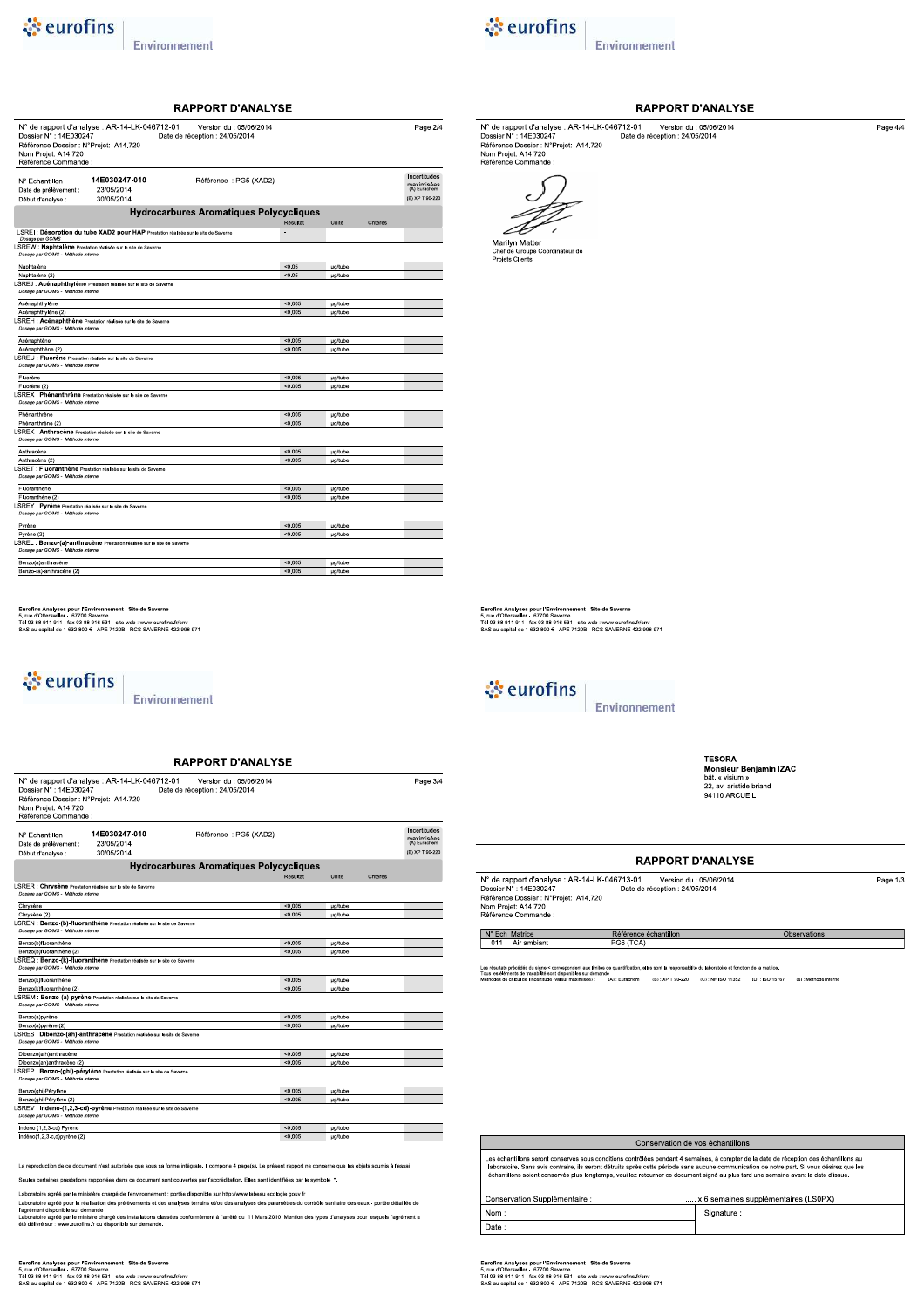## *<u>est</u>* eurofins

Environnement



Environnement

|                                                                                                               |                                                                                     | <b>RAPPORT D'ANALYSE</b>                                  |          |                |          |                                            |
|---------------------------------------------------------------------------------------------------------------|-------------------------------------------------------------------------------------|-----------------------------------------------------------|----------|----------------|----------|--------------------------------------------|
| Dossier N°: 14E030247<br>Référence Dossier : N°Proiet: A14.720<br>Nom Projet: A14.720<br>Référence Commande : | N° de rapport d'analyse : AR-14-LK-046712-01                                        | Version du : 05/06/2014<br>Date de réception : 24/05/2014 |          |                |          | Page 2/4                                   |
| N° Fchantillon<br>Date de prélèvement :                                                                       | 14E030247-010<br>23/05/2014                                                         | Référence : PG5 (XAD2)                                    |          |                |          | Incertitudes<br>mavimisées<br>(A) Eurachem |
| Début d'analyse :                                                                                             | 30/05/2014                                                                          |                                                           |          |                |          | (B) XP T 90-220                            |
|                                                                                                               |                                                                                     | <b>Hydrocarbures Aromatiques Polycycliques</b>            |          |                |          |                                            |
|                                                                                                               |                                                                                     |                                                           | Résultat | Unité          | Critères |                                            |
|                                                                                                               | LSREI : Désorption du tube XAD2 pour HAP Prestation réalisée sur le site de Saverne |                                                           | ٠        |                |          |                                            |
| Dosage par GC/MS<br>Dosage par GC/MS - Méthode interne                                                        | LSREW : Naphtalène Prestation réalisée sur le site de Saverne                       |                                                           |          |                |          |                                            |
| Naphtalène                                                                                                    |                                                                                     |                                                           | < 0.05   | <b>µg/tube</b> |          |                                            |
| Naphtalène (2)                                                                                                |                                                                                     |                                                           | < 0.05   | <b>ug/tube</b> |          |                                            |
| Dosage par GC/MS - Méthode interne                                                                            | LSREJ : Acénaphthylène Prestation réalisée sur le site de Saverne                   |                                                           |          |                |          |                                            |
| Acénaphthylène                                                                                                |                                                                                     |                                                           | < 0.005  | <b>µg/tube</b> |          |                                            |
| Acénaphthylène (2)                                                                                            |                                                                                     |                                                           | < 0.005  | ug/tube        |          |                                            |
| Dosage par GC/MS - Méthode interne                                                                            | LSREH : Acénaphthène Prestation réalisée sur le site de Saverne                     |                                                           |          |                |          |                                            |
| Acénaphtène                                                                                                   |                                                                                     |                                                           | < 0.005  | <b>ug/tube</b> |          |                                            |
| Acénaphthène (2)                                                                                              |                                                                                     |                                                           | < 0.005  | <b>ug/tube</b> |          |                                            |
| LSREU : Fluorène Prestation réalisée sur le site de Saverne<br>Dosage par GC/MS - Méthode interne             |                                                                                     |                                                           |          |                |          |                                            |
| Fluorène                                                                                                      |                                                                                     |                                                           | < 0.005  | µg/tube        |          |                                            |
| Fluorène (2)                                                                                                  |                                                                                     |                                                           | < 0.005  | <b>µg/tube</b> |          |                                            |
| Dossoe par GC/MS - Méthode interne                                                                            | LSREX : Phénanthrène Prestation réalisée sur le site de Saverne                     |                                                           |          |                |          |                                            |
| Phénanthrène                                                                                                  |                                                                                     |                                                           | < 0.005  | <b>µg/tube</b> |          |                                            |
| Phénanthrène (2)                                                                                              |                                                                                     |                                                           | < 0.005  | <b>ug/tube</b> |          |                                            |
| Dosage par GC/MS - Méthode interne                                                                            | LSREK: Anthracène Prestation réalisée sur le site de Saverne                        |                                                           |          |                |          |                                            |
| Anthracène                                                                                                    |                                                                                     |                                                           | < 0.005  | ug/tube        |          |                                            |
| Anthracène (2)                                                                                                |                                                                                     |                                                           | < 0.005  | <b>µg/tube</b> |          |                                            |
| Dossoe par GC/MS - Méthode interne                                                                            | LSRET : Fluoranthène Prestation réalisée sur le site de Saverne                     |                                                           |          |                |          |                                            |
| Fluoranthène                                                                                                  |                                                                                     |                                                           | < 0.005  | <b>µg/tube</b> |          |                                            |
| Fluoranthène (2)                                                                                              |                                                                                     |                                                           | < 0.005  | <b>µg/tube</b> |          |                                            |
| LSREY : Pyrène Prestation réalisée sur le site de Saverne<br>Dosage par GC/MS - Méthode interne               |                                                                                     |                                                           |          |                |          |                                            |
| Pyrène                                                                                                        |                                                                                     |                                                           | < 0.005  | <b>µg/tube</b> |          |                                            |
| Pyrène (2)                                                                                                    |                                                                                     |                                                           | < 0.005  | <b>µg/tube</b> |          |                                            |
| Dosage par GC/MS - Méthode interne                                                                            | LSREL : Benzo-(a)-anthracène Prestation réalisée sur le site de Saverne             |                                                           |          |                |          |                                            |
| Benzo(a)anthracène                                                                                            |                                                                                     |                                                           | < 0.005  | <b>µg/tube</b> |          |                                            |
| Benzo-(a)-anthracène (2)                                                                                      |                                                                                     |                                                           | < 0.005  | ua/tube        |          |                                            |

#### RAPPORT D'ANALYSE

Page  $4/4$ 

N° de rapport d'analyse : AR-14-LK-046712-01<br>
Dossier N° : 14E030247<br>
Référence Dossier : N° Projet: A14.720<br>
Pate de réception : 24/05/2014<br>
Référence Dossier : N°Projet: A14.720<br>
Référence Commande :



Eurofins Analyses pour l'Environnement - Site de Saverne<br>5, rue d'Otterswiller - 67700 Saverne<br>Tél 03 88 911 911 - fax 03 88 916 531 - site web : www.eurofins.frienv<br>SAS au capital de 1 632 800 € - APE 7120B - RCS SAVERNE



Page  $3/4$ 

Incertitudes<br>maximisées<br>(A) Eurachem

(B) XP T 90-22

**ug/tut** 

ug/tul

µg/tub

**µg/tube** 

 $50.00$ 

Environnement

**TESORA HESORA<br>Monsieur Benjamin IZAC**<br>bât. « visium »<br>22, av. aristide briand<br>94110 ARCUEIL

Observations

### **RAPPORT D'ANALYSE**

| N° de rapport d'analyse : AR-14-LK-046713-01 | Version du : 05/06/2014        | Page 1/3 |
|----------------------------------------------|--------------------------------|----------|
| Dossier N°: 14E030247                        | Date de réception : 24/05/2014 |          |
| Référence Dossier : N°Projet: A14.720        |                                |          |
| Nom Projet: A14.720                          |                                |          |
| Référence Commande :                         |                                |          |

 $N^{\circ}$  Ech Matrice<br>011 Air ambiant

Les résultats précédés du signe < correspondent aux limites<br>Tous les éléments de traçabilité sont disponibles sur demani<br>Méthodes de calcul de l'incertitude (valeur maximisée) : 5e<br>(A):Eurachem (B):XP T 90-220 (C):NF ISO 11352 (D):ISO 15767 (e):Méthode interne

Référence échantillon<br>PG6 (TCA)

| Conservation de vos échantillons                                                                                                                                                                                                                                                                                                                                                                                           |            |  |  |  |
|----------------------------------------------------------------------------------------------------------------------------------------------------------------------------------------------------------------------------------------------------------------------------------------------------------------------------------------------------------------------------------------------------------------------------|------------|--|--|--|
| Les échantillons seront conservés sous conditions contrôlées pendant 4 semaines, à compter de la date de réception des échantillons au<br>laboratoire. Sans avis contraire, ils seront détruits après cette période sans aucune communication de notre part. Si vous désirez que les<br>échantillons soient conservés plus longtemps, veuillez retourner ce document signé au plus tard une semaine avant la date d'issue. |            |  |  |  |
| x 6 semaines supplémentaires (LS0PX)<br>Conservation Supplémentaire :                                                                                                                                                                                                                                                                                                                                                      |            |  |  |  |
| Nom:                                                                                                                                                                                                                                                                                                                                                                                                                       | Signature: |  |  |  |
| Date:                                                                                                                                                                                                                                                                                                                                                                                                                      |            |  |  |  |

Eurofins Analyses pour l'Environnement - Site de Saverne<br>5, rue d'Otterswiller - 67700 Saverne<br>Tél 03 88 911 911 - fax 03 88 916 531 - site web : www.eurofins.frienv<br>SAS au capital de 1 632 800 € - APE 7120B - RCS SAVERNE

Eurofins Analyses pour l'Environnement - Site de Saverne<br>5, rue d'Otterswiller - 67770 Saverne<br>Tél 03 88 911 911 - fax 03 88 916 531 - site web : www.eurofins.fr/env<br>SAS au capital de 1 632 800 € - APE 7120B - RCS SAVERNE

Environnement

N° de rapport d'analyse : AR-14-LK-046712-01<br>
Dossier N° : 14E030247<br>
Référence Dossier : N° rProjet: A14.720<br>
Pate de réception : 24/05/2014<br>
Référence Dossier : N°Projet: A14.720<br>
Référence Commande :

14E030247-010

23/05/2014 30/05/2014

**LSRER : Chrysène** Prestation réalisée sur le site de Saverne<br>Dosage par GCMS - Méthode interne

Chrysène (2)<br>LSREN : Benzo-(b)-fluoranthène Prestation réalisée sur le site de 3<br>Dosage par GCMS - Méthode interne

Dibenzo(ah)anthracène (2)<br>LSREP : Benzo-(ghi)-pérylène Prestation réalisée sur le site de S<br>Dosage par GCMS - Méthode interne

sée sur le site de Sa

Seules certaines prestations rapportées dans ce document sont couvertes par l'accréditation. Elles sont identifiées par le symbole \*.

La reproduction de ce document n'est autorisée que sous sa forme intégrale. Il comporte 4 page(s). Le présent rapport ne concerne que les objets soumis à l'essai

Laboratoire agréé par le ministère chargé de l'environnement : portée disponible sur http://www.labeau.ecologie.gouv.fr<br>Laboratoire agréé pour la réalisation des prélèvements et des analyses terrains et/ou des analyses des

**RAPPORT D'ANALYSE** 

Référence : PG5 (XAD2)

**Hydrocarbures Aromatiques Polycycliques** 

*<u><i>* eurofins</u>

N° Echantillon Date de prélèvement :<br>Début d'analyse :

Benzo(b)fluoranthène

.<br>zo(k)fluoranthèn

 $Dibenzo(a,h)$ anthracèn

Benzo(ghi)Pérylène

Indeno (1,2,3-cd) Pyrèn

Benzo(b)fluoranthène (2)<br>LSREQ : Benzo-(k)-fluoranthène<br>CAMS - Méthode interne

Benzo(k)fluoranthène (2)<br>LSREM : Benzo-(a)-pyrène Prest<br>Dossge par GCMS - Méthode interne Benzo(a)pyrène

Benzo(a)pyrène (2)<br>EsRES : Dibenzo-(ah)-anthracène Pre

Benzo(ghi)Pérylène (2)<br>LSREV : Indeno-(1,2,3-cd)-pyrène Pre<br>Dosage par GCMS - Méthode Interne

 $rac{\overline{C}}{\underline{C}}$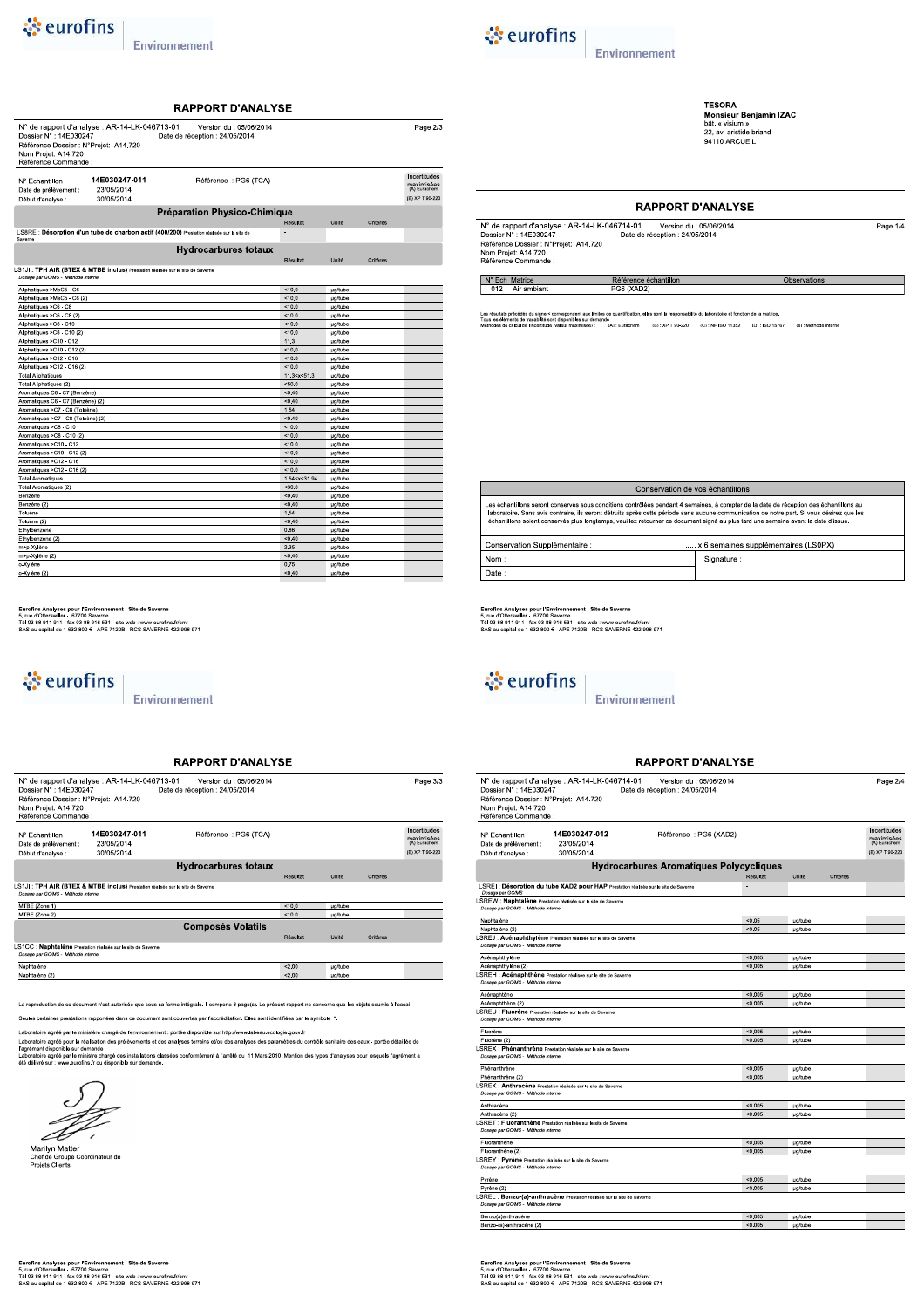| & eurofins |  |
|------------|--|
|            |  |



**TESORA**<br>Monsieur Benjamin IZAC<br>bât. « visium »<br>22, av. aristide briand<br>94110 ARCUEIL

Observations

### **RAPPORT D'ANALYSE**

| N° de rapport d'analyse : AR-14-LK-046714-01 | Version du : 05/06/2014        | Page 1/4 |
|----------------------------------------------|--------------------------------|----------|
| Dossier N° : 14E030247                       | Date de réception : 24/05/2014 |          |
| Référence Dossier : N°Projet: A14.720        |                                |          |
| Nom Projet: A14.720                          |                                |          |
| Ráfáranca Commanda :                         |                                |          |

N° Ech Matrice

.<br>Ition, elles sont la responsabilité du laboratoire et fonction de la matrice Les résultats précédés du signe < correspondent aux limites de<br>Tous les éléments de traçabilité sont disponibles sur demande<br>Méthodes de calcul de l'incertitude (valeur maximisée) de<br>| (A) : Eurachem (B) : XP T 90-220 (C) : NF ISO 11352 (D) : ISO 15767 (e) : Méthode interne

Référence échantillon

G6 (XAD2

| Conservation de vos échantillons                                                                                                                                                                                                                                                                                                                                                                                           |            |  |  |  |
|----------------------------------------------------------------------------------------------------------------------------------------------------------------------------------------------------------------------------------------------------------------------------------------------------------------------------------------------------------------------------------------------------------------------------|------------|--|--|--|
| Les échantillons seront conservés sous conditions contrôlées pendant 4 semaines, à compter de la date de réception des échantillons au<br>laboratoire. Sans avis contraire, ils seront détruits après cette période sans aucune communication de notre part. Si vous désirez que les<br>échantillons soient conservés plus longtemps, veuillez retourner ce document signé au plus tard une semaine avant la date d'issue. |            |  |  |  |
| x 6 semaines supplémentaires (LS0PX)<br>Conservation Supplémentaire :                                                                                                                                                                                                                                                                                                                                                      |            |  |  |  |
| Nom:                                                                                                                                                                                                                                                                                                                                                                                                                       | Signature: |  |  |  |
| Date:                                                                                                                                                                                                                                                                                                                                                                                                                      |            |  |  |  |

Eurofins Analyses pour l'Environnement - Site de Saverne<br>5, rue d'Otterswiller - 67700 Saverne<br>Tél 03 88 911 911 - fax 03 88 916 531 - site web : www.eurofins.frienv<br>SAS au capital de 1 632 800 € - APE 7120B - RCS SAVERNE

## & eurofins

Environnement

|                                                                                                                |                                                                                   | RAPPORT D'ANALYSE                                         |                |                 |          |                                            |
|----------------------------------------------------------------------------------------------------------------|-----------------------------------------------------------------------------------|-----------------------------------------------------------|----------------|-----------------|----------|--------------------------------------------|
| Dossier N° : 14E030247<br>Référence Dossier : N°Projet: A14.720<br>Nom Projet: A14.720<br>Référence Commande : | N° de rapport d'analyse : AR-14-LK-046714-01                                      | Version du : 05/06/2014<br>Date de réception : 24/05/2014 |                |                 |          | Page 2/4                                   |
| N° Echantillon<br>Date de prélèvement :                                                                        | 14E030247-012<br>23/05/2014                                                       | Référence: PG6 (XAD2)                                     |                |                 |          | Incertitudes<br>maximisées<br>(A) Eurachem |
| Début d'analyse :                                                                                              | 30/05/2014                                                                        |                                                           |                |                 |          | (B) XP T 90-220                            |
|                                                                                                                |                                                                                   | <b>Hydrocarbures Aromatiques Polycycliques</b>            |                |                 |          |                                            |
|                                                                                                                |                                                                                   |                                                           | Résultat       | Unité           | Critères |                                            |
| Dosage par GC/MS                                                                                               | SREI: Désorption du tube XAD2 pour HAP Prestation réalisée sur le site de Saverne |                                                           | $\overline{a}$ |                 |          |                                            |
| Dosage par GC/MS - Méthode interne                                                                             | SREW : Naphtalène Prestation réalisée sur le site de Saverne                      |                                                           |                |                 |          |                                            |
| Naphtalène                                                                                                     |                                                                                   |                                                           | < 0.05         | µg/tube         |          |                                            |
| Naphtalène (2)                                                                                                 |                                                                                   |                                                           | < 0.05         | µg/tube         |          |                                            |
| Dosage par GC/MS - Méthode interne                                                                             | SREJ : Acénaphthylène Prestation réalisée sur le site de Saverne                  |                                                           |                |                 |          |                                            |
| Acénaphthylène                                                                                                 |                                                                                   |                                                           | < 0.005        | <b>µg/tube</b>  |          |                                            |
| Acénaphthylène (2)                                                                                             |                                                                                   |                                                           | < 0.005        | <b>u</b> a/tube |          |                                            |
|                                                                                                                | SREH : Acénaphthène Prestation réalisée sur le site de Saverne                    |                                                           |                |                 |          |                                            |
| Dosage par GC/MS - Méthode interne                                                                             |                                                                                   |                                                           |                |                 |          |                                            |
| Acénaphtène                                                                                                    |                                                                                   |                                                           | < 0.005        | µg/tube         |          |                                            |
| Acénaphthène (2)                                                                                               |                                                                                   |                                                           | < 0.005        | <b>µg/tube</b>  |          |                                            |
| SREU : Fluorène Prestation réalisée sur le site de Saverne                                                     |                                                                                   |                                                           |                |                 |          |                                            |
| Dosage par GC/MS - Méthode interne                                                                             |                                                                                   |                                                           |                |                 |          |                                            |
| Fluorène                                                                                                       |                                                                                   |                                                           | < 0.005        | <b>µg/tube</b>  |          |                                            |
| Fluorène (2)                                                                                                   |                                                                                   |                                                           | < 0.005        | µg/tube         |          |                                            |
| Dosage par GC/MS - Méthode interne                                                                             | SREX : Phénanthrène Prestation réalisée sur le site de Saverne                    |                                                           |                |                 |          |                                            |
| Phénanthrène                                                                                                   |                                                                                   |                                                           | < 0.005        | µg/tube         |          |                                            |
| Phénanthrène (2)                                                                                               |                                                                                   |                                                           | < 0.005        | <b>µg/tube</b>  |          |                                            |
| Dosage par GC/MS - Méthode interne                                                                             | SREK: Anthracène Prestation réalisée sur le site de Saverne                       |                                                           |                |                 |          |                                            |
| Anthracène                                                                                                     |                                                                                   |                                                           | < 0.005        | µg/tube         |          |                                            |
| Anthracène (2)                                                                                                 |                                                                                   |                                                           | < 0.005        | <b>µg/tube</b>  |          |                                            |
| Dosage par GC/MS - Méthode interne                                                                             | SRET : Fluoranthène Prestation réalisée sur le site de Saverne                    |                                                           |                |                 |          |                                            |
| Fluoranthène                                                                                                   |                                                                                   |                                                           | < 0.005        | µg/tube         |          |                                            |
| Fluoranthène (2)                                                                                               |                                                                                   |                                                           | < 0.005        | <b>µg/tube</b>  |          |                                            |
| SREY : Pyrène Prestation réalisée sur le site de Saverne                                                       |                                                                                   |                                                           |                |                 |          |                                            |
| Dosage par GC/MS - Méthode interne                                                                             |                                                                                   |                                                           |                |                 |          |                                            |
| Pyrène                                                                                                         |                                                                                   |                                                           | < 0.005        | <b>µg/tube</b>  |          |                                            |
| Pyrène (2)                                                                                                     |                                                                                   |                                                           | < 0.005        | <b>µg/tube</b>  |          |                                            |
| Dosage par GC/MS - Méthode Interne                                                                             | SREL : Benzo-(a)-anthracène Prestation réalisée sur le site de Saverne            |                                                           |                |                 |          |                                            |
| Benzo(a)anthracène                                                                                             |                                                                                   |                                                           | < 0.005        | µg/tube         |          |                                            |
| Benzo-(a)-anthracène (2)                                                                                       |                                                                                   |                                                           | < 0.005        | µg/tube         |          |                                            |

|                                                                                                                     |                                              | <b>RAPPORT D'ANALYSE</b>                                                                  |                           |                                  |          |                                                               |
|---------------------------------------------------------------------------------------------------------------------|----------------------------------------------|-------------------------------------------------------------------------------------------|---------------------------|----------------------------------|----------|---------------------------------------------------------------|
| Dossier N°: 14E030247<br>Référence Dossier : N°Projet: A14.720<br>Nom Projet: A14.720<br>Référence Commande :       | N° de rapport d'analyse : AR-14-LK-046713-01 | Version du : 05/06/2014<br>Date de réception : 24/05/2014                                 |                           |                                  |          | Page 2/3                                                      |
| N° Echantillon<br>Date de prélèvement :<br>Début d'analyse :                                                        | 14E030247-011<br>23/05/2014<br>30/05/2014    | Référence : PG6 (TCA)                                                                     |                           |                                  |          | Incertitudes<br>maximisées<br>(A) Eurachem<br>(B) XP T 90-220 |
|                                                                                                                     |                                              | <b>Préparation Physico-Chimique</b>                                                       |                           |                                  |          |                                                               |
|                                                                                                                     |                                              |                                                                                           | Résultat                  | Unité                            | Critères |                                                               |
| Saverne                                                                                                             |                                              | LS8RE: Désorption d'un tube de charbon actif (400/200) Prestation réalisée sur le site de |                           |                                  |          |                                                               |
|                                                                                                                     |                                              | <b>Hydrocarbures totaux</b>                                                               | Résultat                  | Unité                            | Critères |                                                               |
| S1JI: TPH AIR (BTEX & MTBE inclus) Prestation réalisée sur le site de Saverne<br>Dosage par GC/MS - Méthode interne |                                              |                                                                                           |                           |                                  |          |                                                               |
| Aliphatiques >MeC5 - C6                                                                                             |                                              |                                                                                           | < 10.0                    | ug/tube                          |          |                                                               |
| Aliphatiques >MeC5 - C6 (2)                                                                                         |                                              |                                                                                           | 10.0                      | <b>ug/tube</b>                   |          |                                                               |
| Aliphatiques >C6 - C8                                                                                               |                                              |                                                                                           | 10.0                      | µg/tube                          |          |                                                               |
| Aliphatiques >C6 - C8 (2)                                                                                           |                                              |                                                                                           | 10.0                      | µg/tube                          |          |                                                               |
| Aliphatiques >C8 - C10                                                                                              |                                              |                                                                                           | < 10.0                    | <b>µg/tube</b>                   |          |                                                               |
| Aliphatiques >C8 - C10 (2)                                                                                          |                                              |                                                                                           | 10.0                      | <b>ug/tube</b>                   |          |                                                               |
| Aliphatiques >C10 - C12                                                                                             |                                              |                                                                                           | 11.3                      | µg/tube                          |          |                                                               |
| Aliphatiques >C10 - C12 (2)<br>Aliphatiques >C12 - C16                                                              |                                              |                                                                                           | 10.0<br>10.0              | <b>µg/tube</b><br><b>µg/tube</b> |          |                                                               |
| Aliphatiques >C12 - C16 (2)                                                                                         |                                              |                                                                                           | 10.0                      | µg/tube                          |          |                                                               |
| <b>Total Aliphatiques</b>                                                                                           |                                              |                                                                                           | 11.3 < x < 51.3           | µg/tube                          |          |                                                               |
| Total Aliphatiques (2)                                                                                              |                                              |                                                                                           | < 50.0                    | ug/tube                          |          |                                                               |
| Aromatiques C6 - C7 (Benzène)                                                                                       |                                              |                                                                                           | < 0.40                    | <b>µg/tube</b>                   |          |                                                               |
| Aromatiques C6 - C7 (Benzène) (2)                                                                                   |                                              |                                                                                           | < 0.40                    | <b>ug/tube</b>                   |          |                                                               |
| Aromatiques >C7 - C8 (Toluène)                                                                                      |                                              |                                                                                           | 1.54                      | µg/tube                          |          |                                                               |
| Aromatiques >C7 - C8 (Toluène) (2)                                                                                  |                                              |                                                                                           | < 0.40                    | ug/tube                          |          |                                                               |
| Aromatiques >C8 - C10                                                                                               |                                              |                                                                                           | < 10.0                    | <b>µg/tube</b>                   |          |                                                               |
| Aromatiques >C8 - C10 (2)                                                                                           |                                              |                                                                                           | 10.0                      | <b>ug/tube</b>                   |          |                                                               |
| Aromatiques >C10 - C12                                                                                              |                                              |                                                                                           | 10.0                      | µg/tube                          |          |                                                               |
| Aromatiques >C10 - C12 (2)                                                                                          |                                              |                                                                                           | 10.0                      | ug/tube                          |          |                                                               |
| Aromatiques >C12 - C16                                                                                              |                                              |                                                                                           | < 10.0                    | <b>µg/tube</b>                   |          |                                                               |
| Aromatiques >C12 - C16 (2)                                                                                          |                                              |                                                                                           | 10.0                      | <b>µg/tube</b>                   |          |                                                               |
| <b>Total Aromatiques</b><br><b>The Art American</b>                                                                 |                                              |                                                                                           | 1.54 < x < 31.94<br>0.000 | µg/tube                          |          |                                                               |
|                                                                                                                     |                                              |                                                                                           |                           |                                  |          |                                                               |

Eurofins Analyses pour l'Environnement - Site de Saverne<br>5, rue d'Otterswiller - 67770 Saverne<br>Tél 03 88 911 911 - fax 03 88 916 531 - site web : www.eurofins.fr/env<br>SAS au capital de 1 632 800 € - APE 7120B - RCS SAVERNE

## & eurofins

Environnement

| Dossier N°: 14E030247<br>Référence Dossier : N°Projet: A14.720<br>Nom Projet: A14.720<br>Référence Commande : | N° de rapport d'analyse : AR-14-LK-046713-01                                   | Version du : 05/06/2014<br>Date de réception : 24/05/2014 |          |                |          | Page 3/3                                                      |
|---------------------------------------------------------------------------------------------------------------|--------------------------------------------------------------------------------|-----------------------------------------------------------|----------|----------------|----------|---------------------------------------------------------------|
| N° Echantillon<br>Date de prélèvement :<br>Début d'analyse :                                                  | 14E030247-011<br>23/05/2014<br>30/05/2014                                      | Référence: PG6 (TCA)                                      |          |                |          | Incertitudes<br>maximisées<br>(A) Eurachem<br>(B) XP T 90-220 |
|                                                                                                               |                                                                                | <b>Hydrocarbures totaux</b>                               |          |                |          |                                                               |
|                                                                                                               |                                                                                |                                                           | Résultat | Unité          | Critères |                                                               |
| Dosage par GC/MS - Méthode interne<br>MTBE (Zone 1)                                                           | LS1JI: TPH AIR (BTEX & MTBE inclus) Prestation réalisée sur le site de Saverne |                                                           | < 10.0   | ua/tube        |          |                                                               |
| MTBE (Zone 2)                                                                                                 |                                                                                |                                                           | < 10.0   | ua/tube        |          |                                                               |
|                                                                                                               |                                                                                | <b>Composés Volatils</b>                                  |          |                |          |                                                               |
|                                                                                                               |                                                                                |                                                           | Résultat | Unité          | Critères |                                                               |
| Dosage par GC/MS - Méthode interne                                                                            | LS1CC : Naphtalène Prestation réalisée sur le site de Saverne                  |                                                           |          |                |          |                                                               |
| Naphtalène                                                                                                    |                                                                                |                                                           | 3200     | <b>µg/tube</b> |          |                                                               |
|                                                                                                               |                                                                                |                                                           | < 2.00   | ua/tube        |          |                                                               |

.\*<br><rraines prestations rapportées dans ce document sont couvertes par l'accréditation. Elles sont identifiées par le symbole

Laboratoire agréé par le ministère changé de l'environnement : portée disponible sur http://www.labeau.ecologie.gouv.fr<br>Laboratoire agréé pour la résilisation des prélévements et des analyses terrains et/ou des anamètes du



Marilyn Matter<br>Chef de Groupe Coordinateur de<br>Projets Clients

Eurofins Analyses pour l'Environnement - Site de Saverne<br>5, rue d'Otterswiller - 67700 Saverne<br>Tél 03 88 911 911 - fax 03 88 916 531 - site web : www.eurofins.frienv<br>SAS au capital de 1 632 800 € - APE 7120B - RCS SAVERNE

 $\mathbf{I}$ 

 $\mathbf{I}$